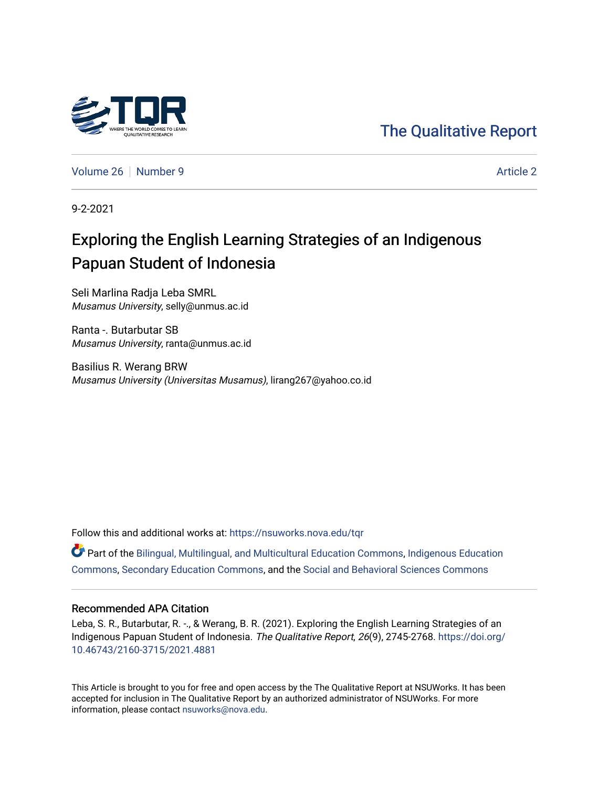[The Qualitative Report](https://nsuworks.nova.edu/tqr) 

[Volume 26](https://nsuworks.nova.edu/tqr/vol26) [Number 9](https://nsuworks.nova.edu/tqr/vol26/iss9) [Article 2](https://nsuworks.nova.edu/tqr/vol26/iss9/2) Article 2

9-2-2021

# Exploring the English Learning Strategies of an Indigenous Papuan Student of Indonesia

Seli Marlina Radja Leba SMRL Musamus University, selly@unmus.ac.id

Ranta -. Butarbutar SB Musamus University, ranta@unmus.ac.id

Basilius R. Werang BRW Musamus University (Universitas Musamus), lirang267@yahoo.co.id

Follow this and additional works at: [https://nsuworks.nova.edu/tqr](https://nsuworks.nova.edu/tqr?utm_source=nsuworks.nova.edu%2Ftqr%2Fvol26%2Fiss9%2F2&utm_medium=PDF&utm_campaign=PDFCoverPages) 

Part of the [Bilingual, Multilingual, and Multicultural Education Commons,](http://network.bepress.com/hgg/discipline/785?utm_source=nsuworks.nova.edu%2Ftqr%2Fvol26%2Fiss9%2F2&utm_medium=PDF&utm_campaign=PDFCoverPages) [Indigenous Education](http://network.bepress.com/hgg/discipline/1379?utm_source=nsuworks.nova.edu%2Ftqr%2Fvol26%2Fiss9%2F2&utm_medium=PDF&utm_campaign=PDFCoverPages)  [Commons](http://network.bepress.com/hgg/discipline/1379?utm_source=nsuworks.nova.edu%2Ftqr%2Fvol26%2Fiss9%2F2&utm_medium=PDF&utm_campaign=PDFCoverPages), [Secondary Education Commons,](http://network.bepress.com/hgg/discipline/1382?utm_source=nsuworks.nova.edu%2Ftqr%2Fvol26%2Fiss9%2F2&utm_medium=PDF&utm_campaign=PDFCoverPages) and the [Social and Behavioral Sciences Commons](http://network.bepress.com/hgg/discipline/316?utm_source=nsuworks.nova.edu%2Ftqr%2Fvol26%2Fiss9%2F2&utm_medium=PDF&utm_campaign=PDFCoverPages)

#### Recommended APA Citation

Leba, S. R., Butarbutar, R. -., & Werang, B. R. (2021). Exploring the English Learning Strategies of an Indigenous Papuan Student of Indonesia. The Qualitative Report, 26(9), 2745-2768. [https://doi.org/](https://doi.org/10.46743/2160-3715/2021.4881) [10.46743/2160-3715/2021.4881](https://doi.org/10.46743/2160-3715/2021.4881)

This Article is brought to you for free and open access by the The Qualitative Report at NSUWorks. It has been accepted for inclusion in The Qualitative Report by an authorized administrator of NSUWorks. For more information, please contact [nsuworks@nova.edu.](mailto:nsuworks@nova.edu)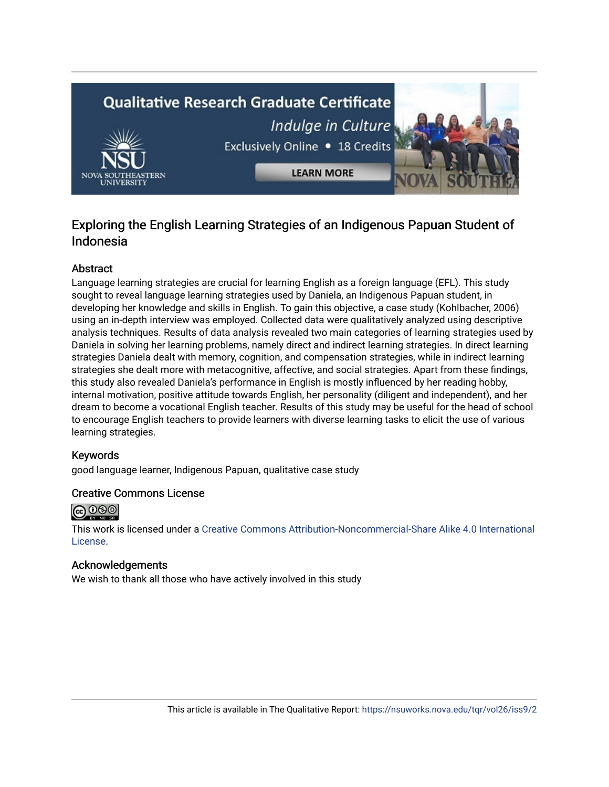# **Qualitative Research Graduate Certificate** Indulge in Culture Exclusively Online . 18 Credits **LEARN MORE**

## Exploring the English Learning Strategies of an Indigenous Papuan Student of Indonesia

### Abstract

Language learning strategies are crucial for learning English as a foreign language (EFL). This study sought to reveal language learning strategies used by Daniela, an Indigenous Papuan student, in developing her knowledge and skills in English. To gain this objective, a case study (Kohlbacher, 2006) using an in-depth interview was employed. Collected data were qualitatively analyzed using descriptive analysis techniques. Results of data analysis revealed two main categories of learning strategies used by Daniela in solving her learning problems, namely direct and indirect learning strategies. In direct learning strategies Daniela dealt with memory, cognition, and compensation strategies, while in indirect learning strategies she dealt more with metacognitive, affective, and social strategies. Apart from these findings, this study also revealed Daniela's performance in English is mostly influenced by her reading hobby, internal motivation, positive attitude towards English, her personality (diligent and independent), and her dream to become a vocational English teacher. Results of this study may be useful for the head of school to encourage English teachers to provide learners with diverse learning tasks to elicit the use of various learning strategies.

#### Keywords

good language learner, Indigenous Papuan, qualitative case study

#### Creative Commons License



This work is licensed under a [Creative Commons Attribution-Noncommercial-Share Alike 4.0 International](https://creativecommons.org/licenses/by-nc-sa/4.0/)  [License](https://creativecommons.org/licenses/by-nc-sa/4.0/).

#### Acknowledgements

We wish to thank all those who have actively involved in this study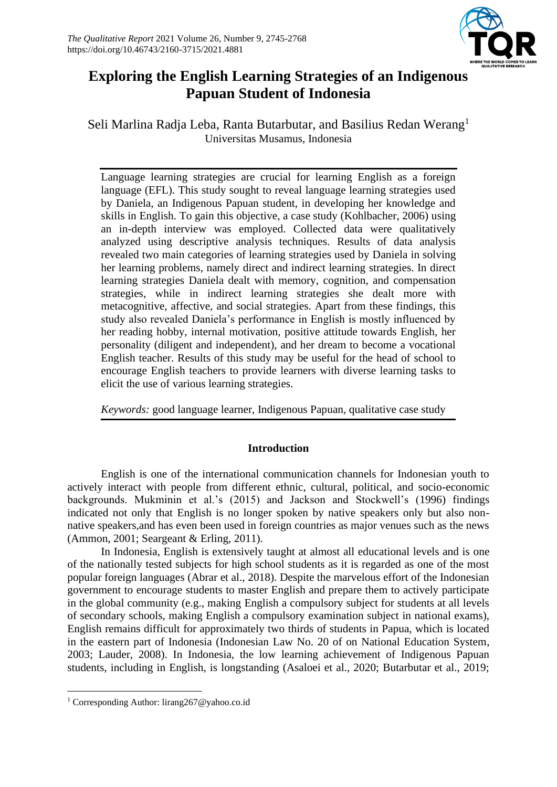

# **Exploring the English Learning Strategies of an Indigenous Papuan Student of Indonesia**

Seli Marlina Radja Leba, Ranta Butarbutar, and Basilius Redan Werang<sup>1</sup> Universitas Musamus, Indonesia

Language learning strategies are crucial for learning English as a foreign language (EFL). This study sought to reveal language learning strategies used by Daniela, an Indigenous Papuan student, in developing her knowledge and skills in English. To gain this objective, a case study (Kohlbacher, 2006) using an in-depth interview was employed. Collected data were qualitatively analyzed using descriptive analysis techniques. Results of data analysis revealed two main categories of learning strategies used by Daniela in solving her learning problems, namely direct and indirect learning strategies. In direct learning strategies Daniela dealt with memory, cognition, and compensation strategies, while in indirect learning strategies she dealt more with metacognitive, affective, and social strategies. Apart from these findings, this study also revealed Daniela's performance in English is mostly influenced by her reading hobby, internal motivation, positive attitude towards English, her personality (diligent and independent), and her dream to become a vocational English teacher. Results of this study may be useful for the head of school to encourage English teachers to provide learners with diverse learning tasks to elicit the use of various learning strategies.

*Keywords:* good language learner, Indigenous Papuan, qualitative case study

#### **Introduction**

English is one of the international communication channels for Indonesian youth to actively interact with people from different ethnic, cultural, political, and socio-economic backgrounds. Mukminin et al.'s (2015) and Jackson and Stockwell's (1996) findings indicated not only that English is no longer spoken by native speakers only but also nonnative speakers,and has even been used in foreign countries as major venues such as the news (Ammon, 2001; Seargeant & Erling, 2011).

In Indonesia, English is extensively taught at almost all educational levels and is one of the nationally tested subjects for high school students as it is regarded as one of the most popular foreign languages (Abrar et al., 2018). Despite the marvelous effort of the Indonesian government to encourage students to master English and prepare them to actively participate in the global community (e.g., making English a compulsory subject for students at all levels of secondary schools, making English a compulsory examination subject in national exams), English remains difficult for approximately two thirds of students in Papua, which is located in the eastern part of Indonesia (Indonesian Law No. 20 of on National Education System, 2003; Lauder, 2008). In Indonesia, the low learning achievement of Indigenous Papuan students, including in English, is longstanding (Asaloei et al., 2020; Butarbutar et al., 2019;

<sup>1</sup> Corresponding Author: lirang267@yahoo.co.id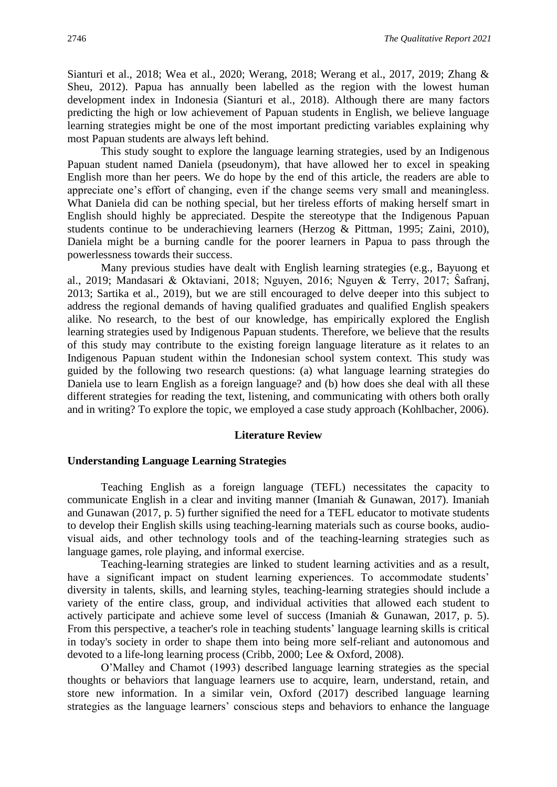Sianturi et al., 2018; Wea et al., 2020; Werang, 2018; Werang et al., 2017, 2019; Zhang & Sheu, 2012). Papua has annually been labelled as the region with the lowest human development index in Indonesia (Sianturi et al., 2018). Although there are many factors predicting the high or low achievement of Papuan students in English, we believe language learning strategies might be one of the most important predicting variables explaining why most Papuan students are always left behind.

This study sought to explore the language learning strategies, used by an Indigenous Papuan student named Daniela (pseudonym), that have allowed her to excel in speaking English more than her peers. We do hope by the end of this article, the readers are able to appreciate one's effort of changing, even if the change seems very small and meaningless. What Daniela did can be nothing special, but her tireless efforts of making herself smart in English should highly be appreciated. Despite the stereotype that the Indigenous Papuan students continue to be underachieving learners (Herzog & Pittman, 1995; Zaini, 2010), Daniela might be a burning candle for the poorer learners in Papua to pass through the powerlessness towards their success.

Many previous studies have dealt with English learning strategies (e.g., Bayuong et al., 2019; Mandasari & Oktaviani, 2018; Nguyen, 2016; Nguyen & Terry, 2017; Ŝafranj, 2013; Sartika et al., 2019), but we are still encouraged to delve deeper into this subject to address the regional demands of having qualified graduates and qualified English speakers alike. No research, to the best of our knowledge, has empirically explored the English learning strategies used by Indigenous Papuan students. Therefore, we believe that the results of this study may contribute to the existing foreign language literature as it relates to an Indigenous Papuan student within the Indonesian school system context. This study was guided by the following two research questions: (a) what language learning strategies do Daniela use to learn English as a foreign language? and (b) how does she deal with all these different strategies for reading the text, listening, and communicating with others both orally and in writing? To explore the topic, we employed a case study approach (Kohlbacher, 2006).

#### **Literature Review**

#### **Understanding Language Learning Strategies**

Teaching English as a foreign language (TEFL) necessitates the capacity to communicate English in a clear and inviting manner (Imaniah & Gunawan, 2017). Imaniah and Gunawan (2017, p. 5) further signified the need for a TEFL educator to motivate students to develop their English skills using teaching-learning materials such as course books, audiovisual aids, and other technology tools and of the teaching-learning strategies such as language games, role playing, and informal exercise.

Teaching-learning strategies are linked to student learning activities and as a result, have a significant impact on student learning experiences. To accommodate students' diversity in talents, skills, and learning styles, teaching-learning strategies should include a variety of the entire class, group, and individual activities that allowed each student to actively participate and achieve some level of success (Imaniah & Gunawan, 2017, p. 5). From this perspective, a teacher's role in teaching students' language learning skills is critical in today's society in order to shape them into being more self-reliant and autonomous and devoted to a life-long learning process (Cribb, 2000; Lee & Oxford, 2008).

O'Malley and Chamot (1993) described language learning strategies as the special thoughts or behaviors that language learners use to acquire, learn, understand, retain, and store new information. In a similar vein, Oxford (2017) described language learning strategies as the language learners' conscious steps and behaviors to enhance the language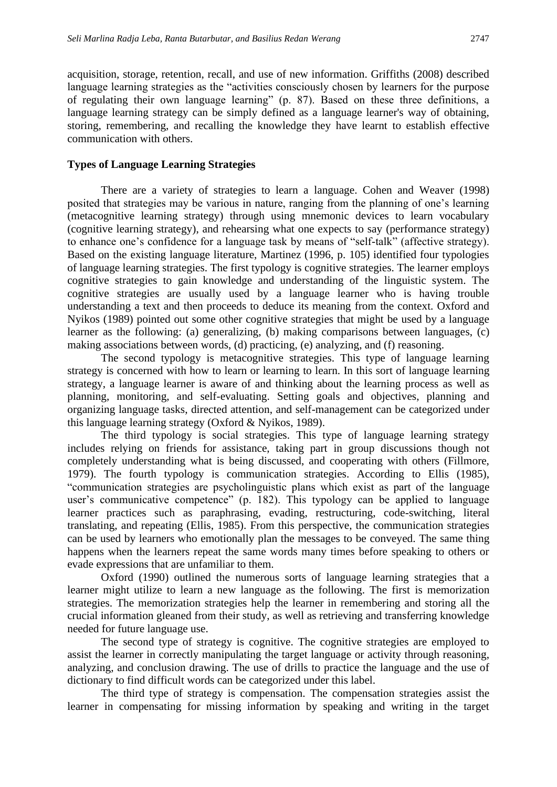acquisition, storage, retention, recall, and use of new information. Griffiths (2008) described language learning strategies as the "activities consciously chosen by learners for the purpose of regulating their own language learning" (p. 87). Based on these three definitions, a language learning strategy can be simply defined as a language learner's way of obtaining, storing, remembering, and recalling the knowledge they have learnt to establish effective communication with others.

#### **Types of Language Learning Strategies**

There are a variety of strategies to learn a language. Cohen and Weaver (1998) posited that strategies may be various in nature, ranging from the planning of one's learning (metacognitive learning strategy) through using mnemonic devices to learn vocabulary (cognitive learning strategy), and rehearsing what one expects to say (performance strategy) to enhance one's confidence for a language task by means of "self-talk" (affective strategy). Based on the existing language literature, Martinez (1996, p. 105) identified four typologies of language learning strategies. The first typology is cognitive strategies. The learner employs cognitive strategies to gain knowledge and understanding of the linguistic system. The cognitive strategies are usually used by a language learner who is having trouble understanding a text and then proceeds to deduce its meaning from the context. Oxford and Nyikos (1989) pointed out some other cognitive strategies that might be used by a language learner as the following: (a) generalizing, (b) making comparisons between languages, (c) making associations between words, (d) practicing, (e) analyzing, and (f) reasoning.

The second typology is metacognitive strategies. This type of language learning strategy is concerned with how to learn or learning to learn. In this sort of language learning strategy, a language learner is aware of and thinking about the learning process as well as planning, monitoring, and self-evaluating. Setting goals and objectives, planning and organizing language tasks, directed attention, and self-management can be categorized under this language learning strategy (Oxford & Nyikos, 1989).

The third typology is social strategies. This type of language learning strategy includes relying on friends for assistance, taking part in group discussions though not completely understanding what is being discussed, and cooperating with others (Fillmore, 1979). The fourth typology is communication strategies. According to Ellis (1985), "communication strategies are psycholinguistic plans which exist as part of the language user's communicative competence" (p. 182). This typology can be applied to language learner practices such as paraphrasing, evading, restructuring, code-switching, literal translating, and repeating (Ellis, 1985). From this perspective, the communication strategies can be used by learners who emotionally plan the messages to be conveyed. The same thing happens when the learners repeat the same words many times before speaking to others or evade expressions that are unfamiliar to them.

Oxford (1990) outlined the numerous sorts of language learning strategies that a learner might utilize to learn a new language as the following. The first is memorization strategies. The memorization strategies help the learner in remembering and storing all the crucial information gleaned from their study, as well as retrieving and transferring knowledge needed for future language use.

The second type of strategy is cognitive. The cognitive strategies are employed to assist the learner in correctly manipulating the target language or activity through reasoning, analyzing, and conclusion drawing. The use of drills to practice the language and the use of dictionary to find difficult words can be categorized under this label.

The third type of strategy is compensation. The compensation strategies assist the learner in compensating for missing information by speaking and writing in the target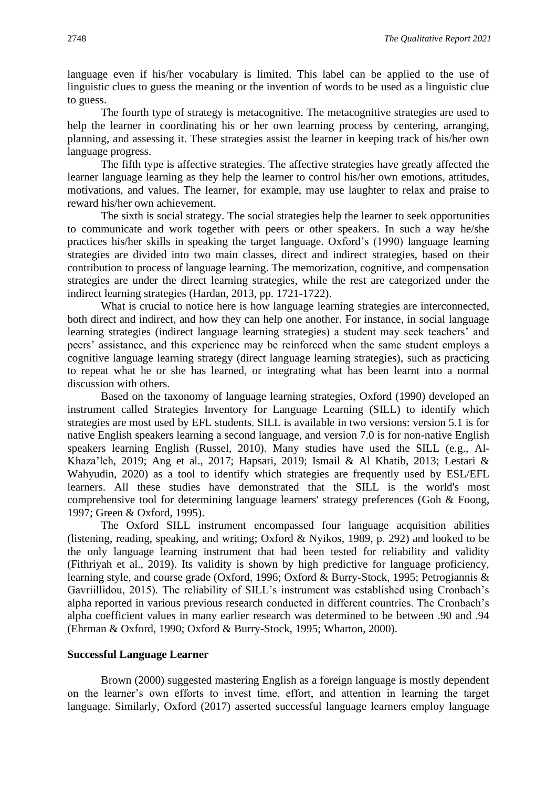language even if his/her vocabulary is limited. This label can be applied to the use of linguistic clues to guess the meaning or the invention of words to be used as a linguistic clue to guess.

The fourth type of strategy is metacognitive. The metacognitive strategies are used to help the learner in coordinating his or her own learning process by centering, arranging, planning, and assessing it. These strategies assist the learner in keeping track of his/her own language progress.

The fifth type is affective strategies. The affective strategies have greatly affected the learner language learning as they help the learner to control his/her own emotions, attitudes, motivations, and values. The learner, for example, may use laughter to relax and praise to reward his/her own achievement.

The sixth is social strategy. The social strategies help the learner to seek opportunities to communicate and work together with peers or other speakers. In such a way he/she practices his/her skills in speaking the target language. Oxford's (1990) language learning strategies are divided into two main classes, direct and indirect strategies, based on their contribution to process of language learning. The memorization, cognitive, and compensation strategies are under the direct learning strategies, while the rest are categorized under the indirect learning strategies (Hardan, 2013, pp. 1721-1722).

What is crucial to notice here is how language learning strategies are interconnected, both direct and indirect, and how they can help one another. For instance, in social language learning strategies (indirect language learning strategies) a student may seek teachers' and peers' assistance, and this experience may be reinforced when the same student employs a cognitive language learning strategy (direct language learning strategies), such as practicing to repeat what he or she has learned, or integrating what has been learnt into a normal discussion with others.

Based on the taxonomy of language learning strategies, Oxford (1990) developed an instrument called Strategies Inventory for Language Learning (SILL) to identify which strategies are most used by EFL students. SILL is available in two versions: version 5.1 is for native English speakers learning a second language, and version 7.0 is for non-native English speakers learning English (Russel, 2010). Many studies have used the SILL (e.g., Al-Khaza'leh, 2019; Ang et al., 2017; Hapsari, 2019; Ismail & Al Khatib, 2013; Lestari & Wahyudin, 2020) as a tool to identify which strategies are frequently used by ESL/EFL learners. All these studies have demonstrated that the SILL is the world's most comprehensive tool for determining language learners' strategy preferences (Goh & Foong, 1997; Green & Oxford, 1995).

The Oxford SILL instrument encompassed four language acquisition abilities (listening, reading, speaking, and writing; Oxford & Nyikos, 1989, p. 292) and looked to be the only language learning instrument that had been tested for reliability and validity (Fithriyah et al., 2019). Its validity is shown by high predictive for language proficiency, learning style, and course grade (Oxford, 1996; Oxford & Burry-Stock, 1995; Petrogiannis & Gavriillidou, 2015). The reliability of SILL's instrument was established using Cronbach's alpha reported in various previous research conducted in different countries. The Cronbach's alpha coefficient values in many earlier research was determined to be between .90 and .94 (Ehrman & Oxford, 1990; Oxford & Burry-Stock, 1995; Wharton, 2000).

#### **Successful Language Learner**

Brown (2000) suggested mastering English as a foreign language is mostly dependent on the learner's own efforts to invest time, effort, and attention in learning the target language. Similarly, Oxford (2017) asserted successful language learners employ language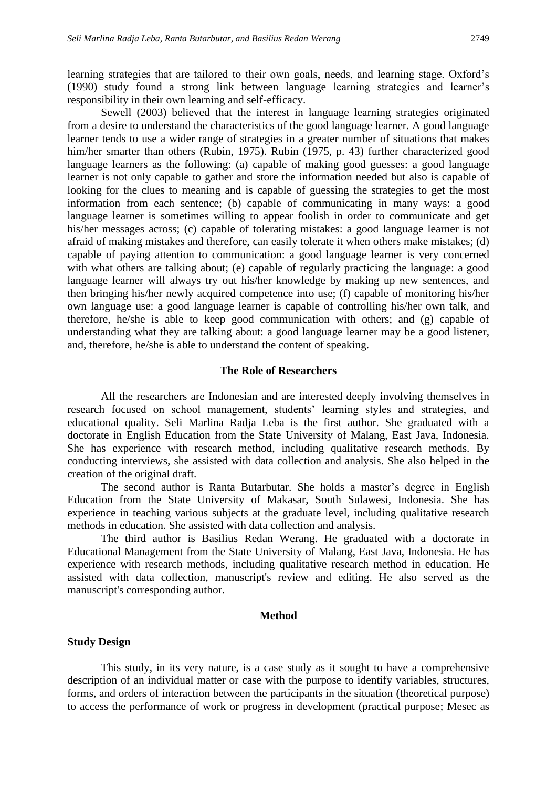learning strategies that are tailored to their own goals, needs, and learning stage. Oxford's (1990) study found a strong link between language learning strategies and learner's responsibility in their own learning and self-efficacy.

Sewell (2003) believed that the interest in language learning strategies originated from a desire to understand the characteristics of the good language learner. A good language learner tends to use a wider range of strategies in a greater number of situations that makes him/her smarter than others (Rubin, 1975). Rubin (1975, p. 43) further characterized good language learners as the following: (a) capable of making good guesses: a good language learner is not only capable to gather and store the information needed but also is capable of looking for the clues to meaning and is capable of guessing the strategies to get the most information from each sentence; (b) capable of communicating in many ways: a good language learner is sometimes willing to appear foolish in order to communicate and get his/her messages across; (c) capable of tolerating mistakes: a good language learner is not afraid of making mistakes and therefore, can easily tolerate it when others make mistakes; (d) capable of paying attention to communication: a good language learner is very concerned with what others are talking about; (e) capable of regularly practicing the language: a good language learner will always try out his/her knowledge by making up new sentences, and then bringing his/her newly acquired competence into use; (f) capable of monitoring his/her own language use: a good language learner is capable of controlling his/her own talk, and therefore, he/she is able to keep good communication with others; and (g) capable of understanding what they are talking about: a good language learner may be a good listener, and, therefore, he/she is able to understand the content of speaking.

#### **The Role of Researchers**

All the researchers are Indonesian and are interested deeply involving themselves in research focused on school management, students' learning styles and strategies, and educational quality. Seli Marlina Radja Leba is the first author. She graduated with a doctorate in English Education from the State University of Malang, East Java, Indonesia. She has experience with research method, including qualitative research methods. By conducting interviews, she assisted with data collection and analysis. She also helped in the creation of the original draft.

The second author is Ranta Butarbutar. She holds a master's degree in English Education from the State University of Makasar, South Sulawesi, Indonesia. She has experience in teaching various subjects at the graduate level, including qualitative research methods in education. She assisted with data collection and analysis.

The third author is Basilius Redan Werang. He graduated with a doctorate in Educational Management from the State University of Malang, East Java, Indonesia. He has experience with research methods, including qualitative research method in education. He assisted with data collection, manuscript's review and editing. He also served as the manuscript's corresponding author.

#### **Method**

#### **Study Design**

This study, in its very nature, is a case study as it sought to have a comprehensive description of an individual matter or case with the purpose to identify variables, structures, forms, and orders of interaction between the participants in the situation (theoretical purpose) to access the performance of work or progress in development (practical purpose; Mesec as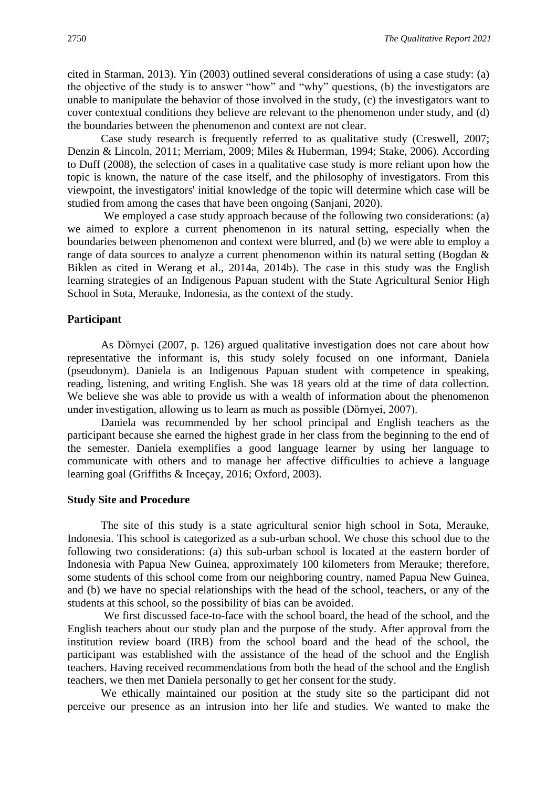cited in Starman, 2013). Yin (2003) outlined several considerations of using a case study: (a) the objective of the study is to answer "how" and "why" questions, (b) the investigators are unable to manipulate the behavior of those involved in the study, (c) the investigators want to cover contextual conditions they believe are relevant to the phenomenon under study, and (d) the boundaries between the phenomenon and context are not clear.

Case study research is frequently referred to as qualitative study (Creswell, 2007; Denzin & Lincoln, 2011; Merriam, 2009; Miles & Huberman, 1994; Stake, 2006). According to Duff (2008), the selection of cases in a qualitative case study is more reliant upon how the topic is known, the nature of the case itself, and the philosophy of investigators. From this viewpoint, the investigators' initial knowledge of the topic will determine which case will be studied from among the cases that have been ongoing (Sanjani, 2020).

We employed a case study approach because of the following two considerations: (a) we aimed to explore a current phenomenon in its natural setting, especially when the boundaries between phenomenon and context were blurred, and (b) we were able to employ a range of data sources to analyze a current phenomenon within its natural setting (Bogdan & Biklen as cited in Werang et al., 2014a, 2014b). The case in this study was the English learning strategies of an Indigenous Papuan student with the State Agricultural Senior High School in Sota, Merauke, Indonesia, as the context of the study.

#### **Participant**

As Dornyei (2007, p. 126) argued qualitative investigation does not care about how representative the informant is, this study solely focused on one informant, Daniela (pseudonym). Daniela is an Indigenous Papuan student with competence in speaking, reading, listening, and writing English. She was 18 years old at the time of data collection. We believe she was able to provide us with a wealth of information about the phenomenon under investigation, allowing us to learn as much as possible (Dornyei, 2007).

Daniela was recommended by her school principal and English teachers as the participant because she earned the highest grade in her class from the beginning to the end of the semester. Daniela exemplifies a good language learner by using her language to communicate with others and to manage her affective difficulties to achieve a language learning goal (Griffiths & Inceçay, 2016; Oxford, 2003).

#### **Study Site and Procedure**

The site of this study is a state agricultural senior high school in Sota, Merauke, Indonesia. This school is categorized as a sub-urban school. We chose this school due to the following two considerations: (a) this sub-urban school is located at the eastern border of Indonesia with Papua New Guinea, approximately 100 kilometers from Merauke; therefore, some students of this school come from our neighboring country, named Papua New Guinea, and (b) we have no special relationships with the head of the school, teachers, or any of the students at this school, so the possibility of bias can be avoided.

We first discussed face-to-face with the school board, the head of the school, and the English teachers about our study plan and the purpose of the study. After approval from the institution review board (IRB) from the school board and the head of the school, the participant was established with the assistance of the head of the school and the English teachers. Having received recommendations from both the head of the school and the English teachers, we then met Daniela personally to get her consent for the study.

We ethically maintained our position at the study site so the participant did not perceive our presence as an intrusion into her life and studies. We wanted to make the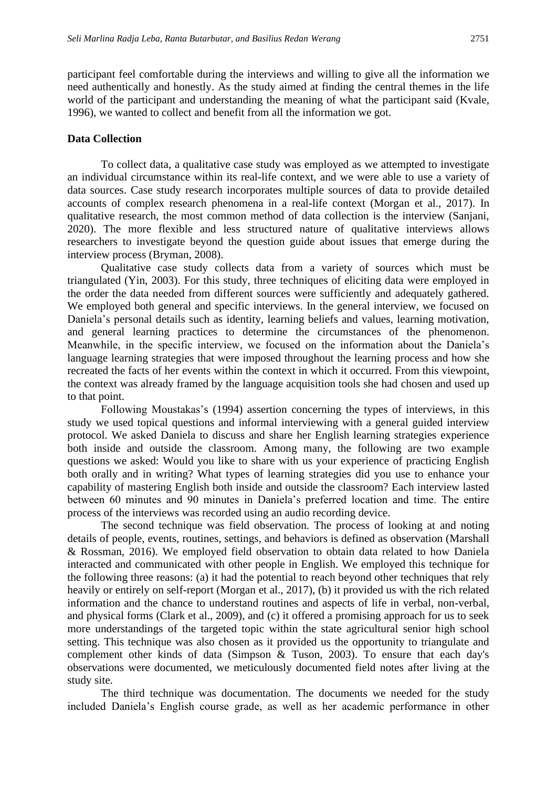participant feel comfortable during the interviews and willing to give all the information we need authentically and honestly. As the study aimed at finding the central themes in the life world of the participant and understanding the meaning of what the participant said (Kvale, 1996), we wanted to collect and benefit from all the information we got.

#### **Data Collection**

To collect data, a qualitative case study was employed as we attempted to investigate an individual circumstance within its real-life context, and we were able to use a variety of data sources. Case study research incorporates multiple sources of data to provide detailed accounts of complex research phenomena in a real-life context (Morgan et al., 2017). In qualitative research, the most common method of data collection is the interview (Sanjani, 2020). The more flexible and less structured nature of qualitative interviews allows researchers to investigate beyond the question guide about issues that emerge during the interview process (Bryman, 2008).

Qualitative case study collects data from a variety of sources which must be triangulated (Yin, 2003). For this study, three techniques of eliciting data were employed in the order the data needed from different sources were sufficiently and adequately gathered. We employed both general and specific interviews. In the general interview, we focused on Daniela's personal details such as identity, learning beliefs and values, learning motivation, and general learning practices to determine the circumstances of the phenomenon. Meanwhile, in the specific interview, we focused on the information about the Daniela's language learning strategies that were imposed throughout the learning process and how she recreated the facts of her events within the context in which it occurred. From this viewpoint, the context was already framed by the language acquisition tools she had chosen and used up to that point.

Following Moustakas's (1994) assertion concerning the types of interviews, in this study we used topical questions and informal interviewing with a general guided interview protocol. We asked Daniela to discuss and share her English learning strategies experience both inside and outside the classroom. Among many, the following are two example questions we asked: Would you like to share with us your experience of practicing English both orally and in writing? What types of learning strategies did you use to enhance your capability of mastering English both inside and outside the classroom? Each interview lasted between 60 minutes and 90 minutes in Daniela's preferred location and time. The entire process of the interviews was recorded using an audio recording device.

The second technique was field observation. The process of looking at and noting details of people, events, routines, settings, and behaviors is defined as observation (Marshall & Rossman, 2016). We employed field observation to obtain data related to how Daniela interacted and communicated with other people in English. We employed this technique for the following three reasons: (a) it had the potential to reach beyond other techniques that rely heavily or entirely on self-report (Morgan et al., 2017), (b) it provided us with the rich related information and the chance to understand routines and aspects of life in verbal, non-verbal, and physical forms (Clark et al., 2009), and (c) it offered a promising approach for us to seek more understandings of the targeted topic within the state agricultural senior high school setting. This technique was also chosen as it provided us the opportunity to triangulate and complement other kinds of data (Simpson & Tuson, 2003). To ensure that each day's observations were documented, we meticulously documented field notes after living at the study site.

The third technique was documentation. The documents we needed for the study included Daniela's English course grade, as well as her academic performance in other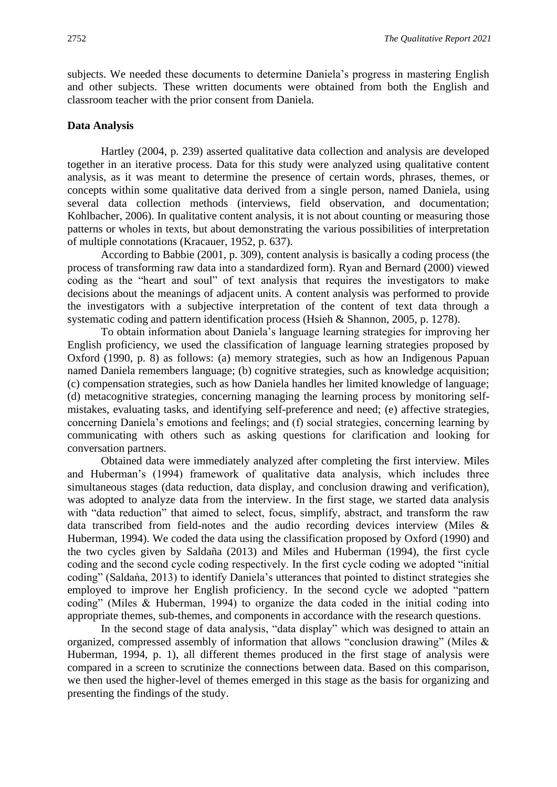subjects. We needed these documents to determine Daniela's progress in mastering English and other subjects. These written documents were obtained from both the English and classroom teacher with the prior consent from Daniela.

#### **Data Analysis**

Hartley (2004, p. 239) asserted qualitative data collection and analysis are developed together in an iterative process. Data for this study were analyzed using qualitative content analysis, as it was meant to determine the presence of certain words, phrases, themes, or concepts within some qualitative data derived from a single person, named Daniela, using several data collection methods (interviews, field observation, and documentation; Kohlbacher, 2006). In qualitative content analysis, it is not about counting or measuring those patterns or wholes in texts, but about demonstrating the various possibilities of interpretation of multiple connotations (Kracauer, 1952, p. 637).

According to Babbie (2001, p. 309), content analysis is basically a coding process (the process of transforming raw data into a standardized form). Ryan and Bernard (2000) viewed coding as the "heart and soul" of text analysis that requires the investigators to make decisions about the meanings of adjacent units. A content analysis was performed to provide the investigators with a subjective interpretation of the content of text data through a systematic coding and pattern identification process (Hsieh & Shannon, 2005, p. 1278).

To obtain information about Daniela's language learning strategies for improving her English proficiency, we used the classification of language learning strategies proposed by Oxford (1990, p. 8) as follows: (a) memory strategies, such as how an Indigenous Papuan named Daniela remembers language; (b) cognitive strategies, such as knowledge acquisition; (c) compensation strategies, such as how Daniela handles her limited knowledge of language; (d) metacognitive strategies, concerning managing the learning process by monitoring selfmistakes, evaluating tasks, and identifying self-preference and need; (e) affective strategies, concerning Daniela's emotions and feelings; and (f) social strategies, concerning learning by communicating with others such as asking questions for clarification and looking for conversation partners.

Obtained data were immediately analyzed after completing the first interview. Miles and Huberman's (1994) framework of qualitative data analysis, which includes three simultaneous stages (data reduction, data display, and conclusion drawing and verification), was adopted to analyze data from the interview. In the first stage, we started data analysis with "data reduction" that aimed to select, focus, simplify, abstract, and transform the raw data transcribed from field-notes and the audio recording devices interview (Miles & Huberman, 1994). We coded the data using the classification proposed by Oxford (1990) and the two cycles given by Saldaña (2013) and Miles and Huberman (1994), the first cycle coding and the second cycle coding respectively. In the first cycle coding we adopted "initial coding" (Saldaña, 2013) to identify Daniela's utterances that pointed to distinct strategies she employed to improve her English proficiency. In the second cycle we adopted "pattern coding" (Miles & Huberman, 1994) to organize the data coded in the initial coding into appropriate themes, sub-themes, and components in accordance with the research questions.

In the second stage of data analysis, "data display" which was designed to attain an organized, compressed assembly of information that allows "conclusion drawing" (Miles & Huberman, 1994, p. 1), all different themes produced in the first stage of analysis were compared in a screen to scrutinize the connections between data. Based on this comparison, we then used the higher-level of themes emerged in this stage as the basis for organizing and presenting the findings of the study.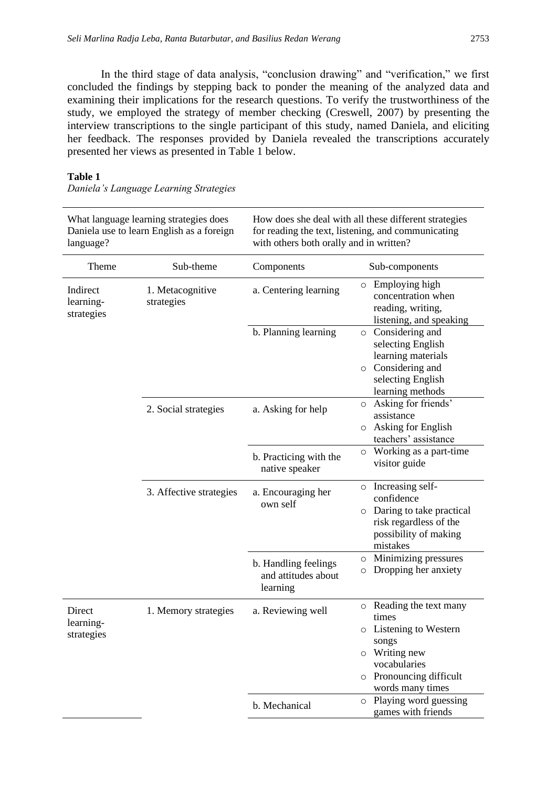In the third stage of data analysis, "conclusion drawing" and "verification," we first concluded the findings by stepping back to ponder the meaning of the analyzed data and examining their implications for the research questions. To verify the trustworthiness of the study, we employed the strategy of member checking (Creswell, 2007) by presenting the interview transcriptions to the single participant of this study, named Daniela, and eliciting her feedback. The responses provided by Daniela revealed the transcriptions accurately presented her views as presented in Table 1 below.

#### **Table 1**

*Daniela's Language Learning Strategies*

| What language learning strategies does<br>Daniela use to learn English as a foreign<br>language? |                                | How does she deal with all these different strategies<br>for reading the text, listening, and communicating<br>with others both orally and in written? |                                                                                                                                                           |
|--------------------------------------------------------------------------------------------------|--------------------------------|--------------------------------------------------------------------------------------------------------------------------------------------------------|-----------------------------------------------------------------------------------------------------------------------------------------------------------|
| Theme                                                                                            | Sub-theme                      | Components                                                                                                                                             | Sub-components                                                                                                                                            |
| Indirect<br>learning-<br>strategies                                                              | 1. Metacognitive<br>strategies | a. Centering learning                                                                                                                                  | $\circ$ Employing high<br>concentration when<br>reading, writing,<br>listening, and speaking                                                              |
|                                                                                                  |                                | b. Planning learning                                                                                                                                   | o Considering and<br>selecting English<br>learning materials<br>o Considering and<br>selecting English<br>learning methods                                |
|                                                                                                  | 2. Social strategies           | a. Asking for help                                                                                                                                     | o Asking for friends'<br>assistance<br><b>Asking for English</b><br>$\circ$<br>teachers' assistance                                                       |
|                                                                                                  |                                | b. Practicing with the<br>native speaker                                                                                                               | o Working as a part-time<br>visitor guide                                                                                                                 |
|                                                                                                  | 3. Affective strategies        | a. Encouraging her<br>own self                                                                                                                         | o Increasing self-<br>confidence<br>Daring to take practical<br>$\circ$<br>risk regardless of the<br>possibility of making<br>mistakes                    |
|                                                                                                  |                                | b. Handling feelings<br>and attitudes about<br>learning                                                                                                | Minimizing pressures<br>$\circ$<br>Dropping her anxiety<br>$\circ$                                                                                        |
| Direct<br>learning-<br>strategies                                                                | 1. Memory strategies           | a. Reviewing well                                                                                                                                      | o Reading the text many<br>times<br>o Listening to Western<br>songs<br>$\circ$ Writing new<br>vocabularies<br>o Pronouncing difficult<br>words many times |
|                                                                                                  |                                | b. Mechanical                                                                                                                                          | o Playing word guessing<br>games with friends                                                                                                             |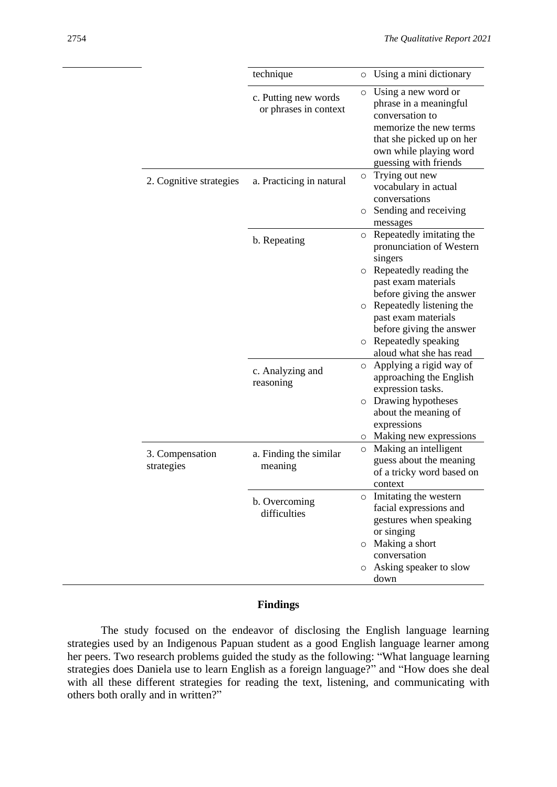|                               | technique                                     | O                  | Using a mini dictionary                                                                                                                                                    |
|-------------------------------|-----------------------------------------------|--------------------|----------------------------------------------------------------------------------------------------------------------------------------------------------------------------|
|                               | c. Putting new words<br>or phrases in context | O                  | Using a new word or<br>phrase in a meaningful<br>conversation to<br>memorize the new terms<br>that she picked up on her<br>own while playing word<br>guessing with friends |
| 2. Cognitive strategies       | a. Practicing in natural                      | $\circ$            | Trying out new<br>vocabulary in actual<br>conversations                                                                                                                    |
|                               |                                               | $\circ$            | Sending and receiving<br>messages                                                                                                                                          |
|                               | b. Repeating                                  | $\circ$            | Repeatedly imitating the<br>pronunciation of Western<br>singers                                                                                                            |
|                               |                                               | $\circ$            | Repeatedly reading the<br>past exam materials<br>before giving the answer                                                                                                  |
|                               |                                               | $\circ$            | Repeatedly listening the<br>past exam materials                                                                                                                            |
|                               |                                               | $\circ$            | before giving the answer<br>Repeatedly speaking<br>aloud what she has read                                                                                                 |
|                               | c. Analyzing and<br>reasoning                 | O                  | Applying a rigid way of<br>approaching the English<br>expression tasks.                                                                                                    |
|                               |                                               | $\circ$<br>$\circ$ | Drawing hypotheses<br>about the meaning of<br>expressions<br>Making new expressions                                                                                        |
| 3. Compensation<br>strategies | a. Finding the similar<br>meaning             | $\circ$            | Making an intelligent<br>guess about the meaning<br>of a tricky word based on<br>context                                                                                   |
|                               | b. Overcoming<br>difficulties                 |                    | o Imitating the western<br>facial expressions and<br>gestures when speaking<br>or singing                                                                                  |
|                               |                                               | $\circ$            | Making a short<br>conversation                                                                                                                                             |
|                               |                                               | $\circ$            | Asking speaker to slow<br>down                                                                                                                                             |

#### **Findings**

The study focused on the endeavor of disclosing the English language learning strategies used by an Indigenous Papuan student as a good English language learner among her peers. Two research problems guided the study as the following: "What language learning strategies does Daniela use to learn English as a foreign language?" and "How does she deal with all these different strategies for reading the text, listening, and communicating with others both orally and in written?"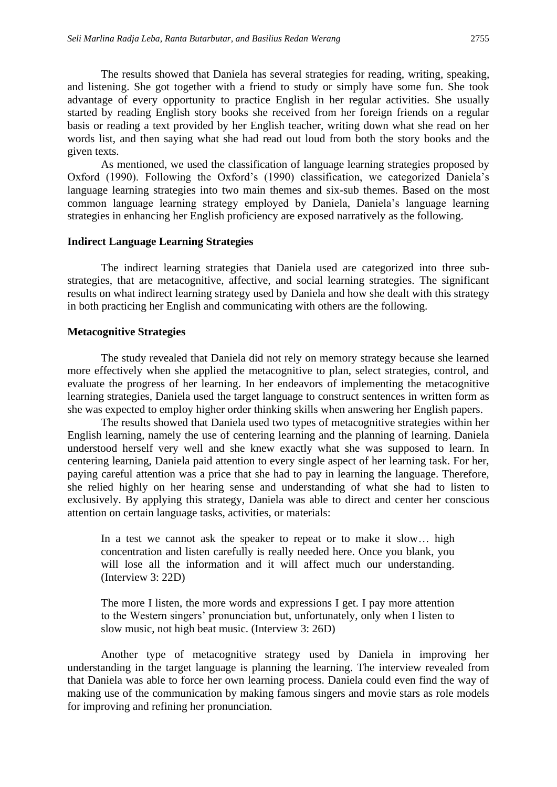The results showed that Daniela has several strategies for reading, writing, speaking, and listening. She got together with a friend to study or simply have some fun. She took advantage of every opportunity to practice English in her regular activities. She usually started by reading English story books she received from her foreign friends on a regular basis or reading a text provided by her English teacher, writing down what she read on her words list, and then saying what she had read out loud from both the story books and the given texts.

As mentioned, we used the classification of language learning strategies proposed by Oxford (1990). Following the Oxford's (1990) classification, we categorized Daniela's language learning strategies into two main themes and six-sub themes. Based on the most common language learning strategy employed by Daniela, Daniela's language learning strategies in enhancing her English proficiency are exposed narratively as the following.

#### **Indirect Language Learning Strategies**

The indirect learning strategies that Daniela used are categorized into three substrategies, that are metacognitive, affective, and social learning strategies. The significant results on what indirect learning strategy used by Daniela and how she dealt with this strategy in both practicing her English and communicating with others are the following.

#### **Metacognitive Strategies**

The study revealed that Daniela did not rely on memory strategy because she learned more effectively when she applied the metacognitive to plan, select strategies, control, and evaluate the progress of her learning. In her endeavors of implementing the metacognitive learning strategies, Daniela used the target language to construct sentences in written form as she was expected to employ higher order thinking skills when answering her English papers.

The results showed that Daniela used two types of metacognitive strategies within her English learning, namely the use of centering learning and the planning of learning. Daniela understood herself very well and she knew exactly what she was supposed to learn. In centering learning, Daniela paid attention to every single aspect of her learning task. For her, paying careful attention was a price that she had to pay in learning the language. Therefore, she relied highly on her hearing sense and understanding of what she had to listen to exclusively. By applying this strategy, Daniela was able to direct and center her conscious attention on certain language tasks, activities, or materials:

In a test we cannot ask the speaker to repeat or to make it slow... high concentration and listen carefully is really needed here. Once you blank, you will lose all the information and it will affect much our understanding. (Interview 3: 22D)

The more I listen, the more words and expressions I get. I pay more attention to the Western singers' pronunciation but, unfortunately, only when I listen to slow music, not high beat music. (Interview 3: 26D)

Another type of metacognitive strategy used by Daniela in improving her understanding in the target language is planning the learning. The interview revealed from that Daniela was able to force her own learning process. Daniela could even find the way of making use of the communication by making famous singers and movie stars as role models for improving and refining her pronunciation.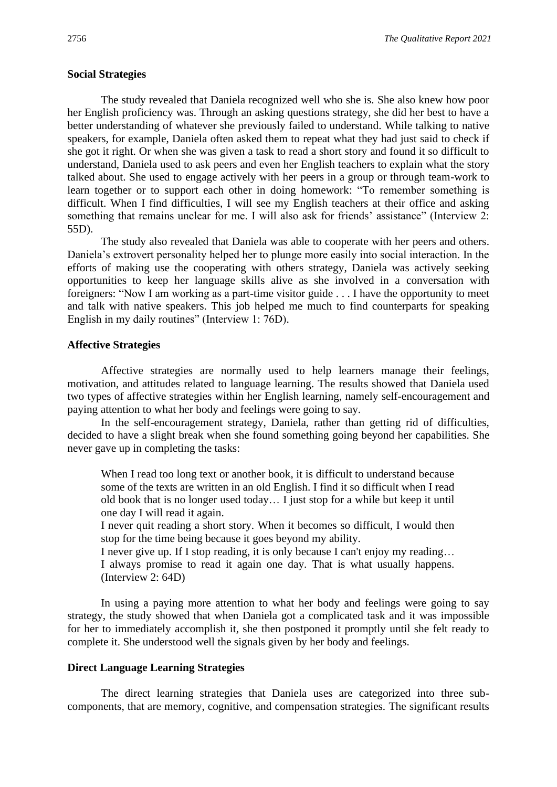#### **Social Strategies**

The study revealed that Daniela recognized well who she is. She also knew how poor her English proficiency was. Through an asking questions strategy, she did her best to have a better understanding of whatever she previously failed to understand. While talking to native speakers, for example, Daniela often asked them to repeat what they had just said to check if she got it right. Or when she was given a task to read a short story and found it so difficult to understand, Daniela used to ask peers and even her English teachers to explain what the story talked about. She used to engage actively with her peers in a group or through team-work to learn together or to support each other in doing homework: "To remember something is difficult. When I find difficulties, I will see my English teachers at their office and asking something that remains unclear for me. I will also ask for friends' assistance" (Interview 2: 55D).

The study also revealed that Daniela was able to cooperate with her peers and others. Daniela's extrovert personality helped her to plunge more easily into social interaction. In the efforts of making use the cooperating with others strategy, Daniela was actively seeking opportunities to keep her language skills alive as she involved in a conversation with foreigners: "Now I am working as a part-time visitor guide . . . I have the opportunity to meet and talk with native speakers. This job helped me much to find counterparts for speaking English in my daily routines" (Interview 1: 76D).

#### **Affective Strategies**

Affective strategies are normally used to help learners manage their feelings, motivation, and attitudes related to language learning. The results showed that Daniela used two types of affective strategies within her English learning, namely self-encouragement and paying attention to what her body and feelings were going to say.

In the self-encouragement strategy, Daniela, rather than getting rid of difficulties, decided to have a slight break when she found something going beyond her capabilities. She never gave up in completing the tasks:

When I read too long text or another book, it is difficult to understand because some of the texts are written in an old English. I find it so difficult when I read old book that is no longer used today… I just stop for a while but keep it until one day I will read it again.

I never quit reading a short story. When it becomes so difficult, I would then stop for the time being because it goes beyond my ability.

I never give up. If I stop reading, it is only because I can't enjoy my reading… I always promise to read it again one day. That is what usually happens. (Interview 2: 64D)

In using a paying more attention to what her body and feelings were going to say strategy, the study showed that when Daniela got a complicated task and it was impossible for her to immediately accomplish it, she then postponed it promptly until she felt ready to complete it. She understood well the signals given by her body and feelings.

#### **Direct Language Learning Strategies**

The direct learning strategies that Daniela uses are categorized into three subcomponents, that are memory, cognitive, and compensation strategies. The significant results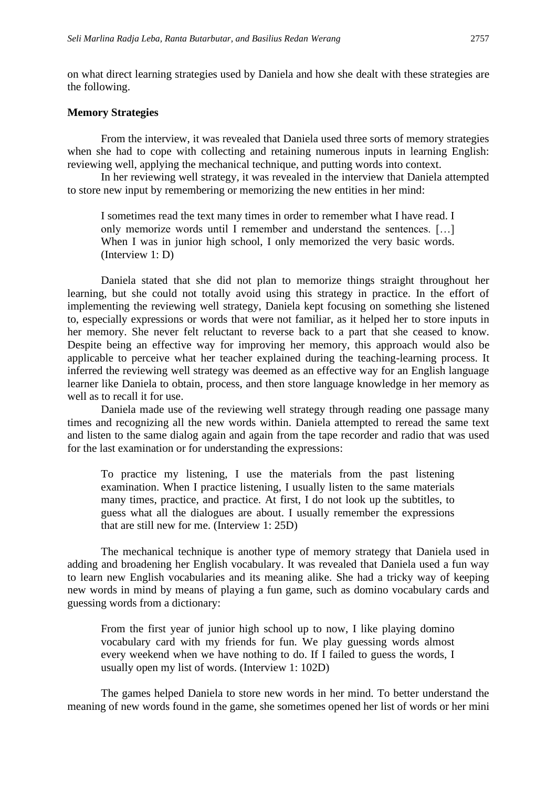on what direct learning strategies used by Daniela and how she dealt with these strategies are the following.

#### **Memory Strategies**

From the interview, it was revealed that Daniela used three sorts of memory strategies when she had to cope with collecting and retaining numerous inputs in learning English: reviewing well, applying the mechanical technique, and putting words into context.

In her reviewing well strategy, it was revealed in the interview that Daniela attempted to store new input by remembering or memorizing the new entities in her mind:

I sometimes read the text many times in order to remember what I have read. I only memorize words until I remember and understand the sentences. […] When I was in junior high school, I only memorized the very basic words. (Interview 1: D)

Daniela stated that she did not plan to memorize things straight throughout her learning, but she could not totally avoid using this strategy in practice. In the effort of implementing the reviewing well strategy, Daniela kept focusing on something she listened to, especially expressions or words that were not familiar, as it helped her to store inputs in her memory. She never felt reluctant to reverse back to a part that she ceased to know. Despite being an effective way for improving her memory, this approach would also be applicable to perceive what her teacher explained during the teaching-learning process. It inferred the reviewing well strategy was deemed as an effective way for an English language learner like Daniela to obtain, process, and then store language knowledge in her memory as well as to recall it for use.

Daniela made use of the reviewing well strategy through reading one passage many times and recognizing all the new words within. Daniela attempted to reread the same text and listen to the same dialog again and again from the tape recorder and radio that was used for the last examination or for understanding the expressions:

To practice my listening, I use the materials from the past listening examination. When I practice listening, I usually listen to the same materials many times, practice, and practice. At first, I do not look up the subtitles, to guess what all the dialogues are about. I usually remember the expressions that are still new for me. (Interview 1: 25D)

The mechanical technique is another type of memory strategy that Daniela used in adding and broadening her English vocabulary. It was revealed that Daniela used a fun way to learn new English vocabularies and its meaning alike. She had a tricky way of keeping new words in mind by means of playing a fun game, such as domino vocabulary cards and guessing words from a dictionary:

From the first year of junior high school up to now, I like playing domino vocabulary card with my friends for fun. We play guessing words almost every weekend when we have nothing to do. If I failed to guess the words, I usually open my list of words. (Interview 1: 102D)

The games helped Daniela to store new words in her mind. To better understand the meaning of new words found in the game, she sometimes opened her list of words or her mini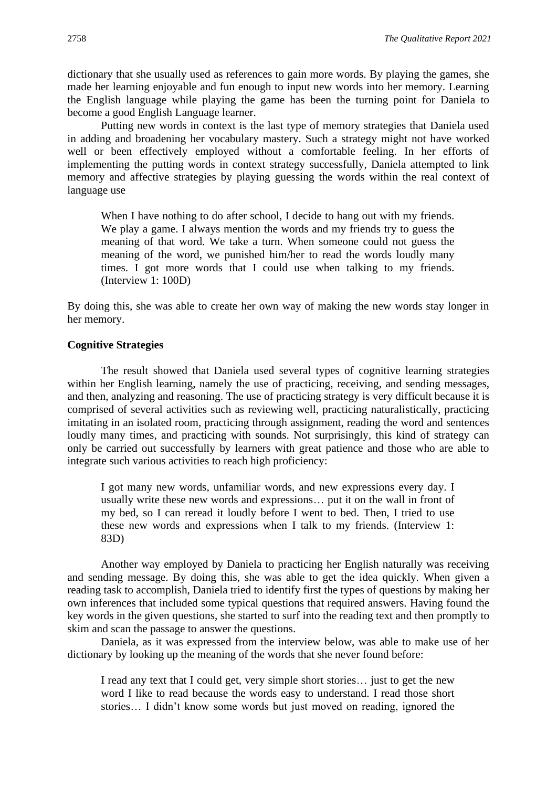dictionary that she usually used as references to gain more words. By playing the games, she made her learning enjoyable and fun enough to input new words into her memory. Learning the English language while playing the game has been the turning point for Daniela to become a good English Language learner.

Putting new words in context is the last type of memory strategies that Daniela used in adding and broadening her vocabulary mastery. Such a strategy might not have worked well or been effectively employed without a comfortable feeling. In her efforts of implementing the putting words in context strategy successfully, Daniela attempted to link memory and affective strategies by playing guessing the words within the real context of language use

When I have nothing to do after school, I decide to hang out with my friends. We play a game. I always mention the words and my friends try to guess the meaning of that word. We take a turn. When someone could not guess the meaning of the word, we punished him/her to read the words loudly many times. I got more words that I could use when talking to my friends. (Interview 1: 100D)

By doing this, she was able to create her own way of making the new words stay longer in her memory.

#### **Cognitive Strategies**

The result showed that Daniela used several types of cognitive learning strategies within her English learning, namely the use of practicing, receiving, and sending messages, and then, analyzing and reasoning. The use of practicing strategy is very difficult because it is comprised of several activities such as reviewing well, practicing naturalistically, practicing imitating in an isolated room, practicing through assignment, reading the word and sentences loudly many times, and practicing with sounds. Not surprisingly, this kind of strategy can only be carried out successfully by learners with great patience and those who are able to integrate such various activities to reach high proficiency:

I got many new words, unfamiliar words, and new expressions every day. I usually write these new words and expressions… put it on the wall in front of my bed, so I can reread it loudly before I went to bed. Then, I tried to use these new words and expressions when I talk to my friends. (Interview 1: 83D)

Another way employed by Daniela to practicing her English naturally was receiving and sending message. By doing this, she was able to get the idea quickly. When given a reading task to accomplish, Daniela tried to identify first the types of questions by making her own inferences that included some typical questions that required answers. Having found the key words in the given questions, she started to surf into the reading text and then promptly to skim and scan the passage to answer the questions.

Daniela, as it was expressed from the interview below, was able to make use of her dictionary by looking up the meaning of the words that she never found before:

I read any text that I could get, very simple short stories… just to get the new word I like to read because the words easy to understand. I read those short stories… I didn't know some words but just moved on reading, ignored the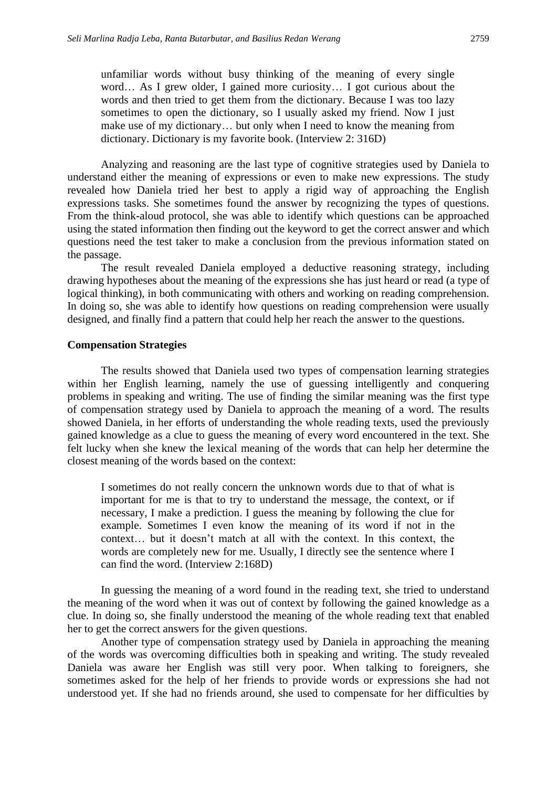unfamiliar words without busy thinking of the meaning of every single word… As I grew older, I gained more curiosity… I got curious about the words and then tried to get them from the dictionary. Because I was too lazy sometimes to open the dictionary, so I usually asked my friend. Now I just make use of my dictionary… but only when I need to know the meaning from dictionary. Dictionary is my favorite book. (Interview 2: 316D)

Analyzing and reasoning are the last type of cognitive strategies used by Daniela to understand either the meaning of expressions or even to make new expressions. The study revealed how Daniela tried her best to apply a rigid way of approaching the English expressions tasks. She sometimes found the answer by recognizing the types of questions. From the think-aloud protocol, she was able to identify which questions can be approached using the stated information then finding out the keyword to get the correct answer and which questions need the test taker to make a conclusion from the previous information stated on the passage.

The result revealed Daniela employed a deductive reasoning strategy, including drawing hypotheses about the meaning of the expressions she has just heard or read (a type of logical thinking), in both communicating with others and working on reading comprehension. In doing so, she was able to identify how questions on reading comprehension were usually designed, and finally find a pattern that could help her reach the answer to the questions.

#### **Compensation Strategies**

The results showed that Daniela used two types of compensation learning strategies within her English learning, namely the use of guessing intelligently and conquering problems in speaking and writing. The use of finding the similar meaning was the first type of compensation strategy used by Daniela to approach the meaning of a word. The results showed Daniela, in her efforts of understanding the whole reading texts, used the previously gained knowledge as a clue to guess the meaning of every word encountered in the text. She felt lucky when she knew the lexical meaning of the words that can help her determine the closest meaning of the words based on the context:

I sometimes do not really concern the unknown words due to that of what is important for me is that to try to understand the message, the context, or if necessary, I make a prediction. I guess the meaning by following the clue for example. Sometimes I even know the meaning of its word if not in the context… but it doesn't match at all with the context. In this context, the words are completely new for me. Usually, I directly see the sentence where I can find the word. (Interview 2:168D)

In guessing the meaning of a word found in the reading text, she tried to understand the meaning of the word when it was out of context by following the gained knowledge as a clue. In doing so, she finally understood the meaning of the whole reading text that enabled her to get the correct answers for the given questions.

Another type of compensation strategy used by Daniela in approaching the meaning of the words was overcoming difficulties both in speaking and writing. The study revealed Daniela was aware her English was still very poor. When talking to foreigners, she sometimes asked for the help of her friends to provide words or expressions she had not understood yet. If she had no friends around, she used to compensate for her difficulties by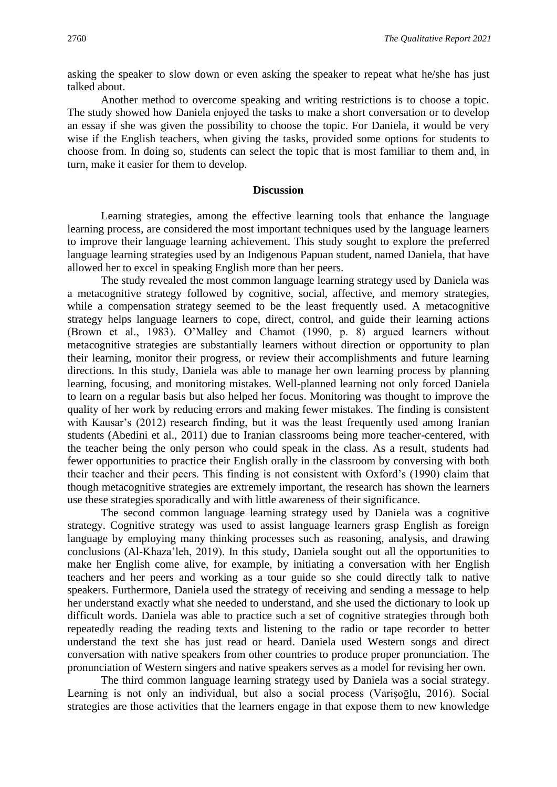asking the speaker to slow down or even asking the speaker to repeat what he/she has just talked about.

Another method to overcome speaking and writing restrictions is to choose a topic. The study showed how Daniela enjoyed the tasks to make a short conversation or to develop an essay if she was given the possibility to choose the topic. For Daniela, it would be very wise if the English teachers, when giving the tasks, provided some options for students to choose from. In doing so, students can select the topic that is most familiar to them and, in turn, make it easier for them to develop.

#### **Discussion**

Learning strategies, among the effective learning tools that enhance the language learning process, are considered the most important techniques used by the language learners to improve their language learning achievement. This study sought to explore the preferred language learning strategies used by an Indigenous Papuan student, named Daniela, that have allowed her to excel in speaking English more than her peers.

The study revealed the most common language learning strategy used by Daniela was a metacognitive strategy followed by cognitive, social, affective, and memory strategies, while a compensation strategy seemed to be the least frequently used. A metacognitive strategy helps language learners to cope, direct, control, and guide their learning actions (Brown et al., 1983). O'Malley and Chamot (1990, p. 8) argued learners without metacognitive strategies are substantially learners without direction or opportunity to plan their learning, monitor their progress, or review their accomplishments and future learning directions. In this study, Daniela was able to manage her own learning process by planning learning, focusing, and monitoring mistakes. Well-planned learning not only forced Daniela to learn on a regular basis but also helped her focus. Monitoring was thought to improve the quality of her work by reducing errors and making fewer mistakes. The finding is consistent with Kausar's (2012) research finding, but it was the least frequently used among Iranian students (Abedini et al., 2011) due to Iranian classrooms being more teacher-centered, with the teacher being the only person who could speak in the class. As a result, students had fewer opportunities to practice their English orally in the classroom by conversing with both their teacher and their peers. This finding is not consistent with Oxford's (1990) claim that though metacognitive strategies are extremely important, the research has shown the learners use these strategies sporadically and with little awareness of their significance.

The second common language learning strategy used by Daniela was a cognitive strategy. Cognitive strategy was used to assist language learners grasp English as foreign language by employing many thinking processes such as reasoning, analysis, and drawing conclusions (Al-Khaza'leh, 2019). In this study, Daniela sought out all the opportunities to make her English come alive, for example, by initiating a conversation with her English teachers and her peers and working as a tour guide so she could directly talk to native speakers. Furthermore, Daniela used the strategy of receiving and sending a message to help her understand exactly what she needed to understand, and she used the dictionary to look up difficult words. Daniela was able to practice such a set of cognitive strategies through both repeatedly reading the reading texts and listening to the radio or tape recorder to better understand the text she has just read or heard. Daniela used Western songs and direct conversation with native speakers from other countries to produce proper pronunciation. The pronunciation of Western singers and native speakers serves as a model for revising her own.

The third common language learning strategy used by Daniela was a social strategy. Learning is not only an individual, but also a social process (Varisoglu, 2016). Social strategies are those activities that the learners engage in that expose them to new knowledge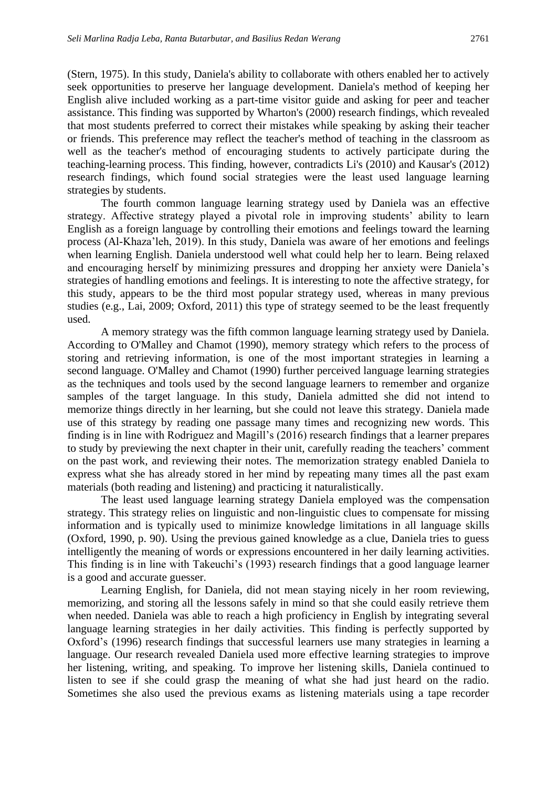(Stern, 1975). In this study, Daniela's ability to collaborate with others enabled her to actively seek opportunities to preserve her language development. Daniela's method of keeping her English alive included working as a part-time visitor guide and asking for peer and teacher assistance. This finding was supported by Wharton's (2000) research findings, which revealed that most students preferred to correct their mistakes while speaking by asking their teacher or friends. This preference may reflect the teacher's method of teaching in the classroom as well as the teacher's method of encouraging students to actively participate during the teaching-learning process. This finding, however, contradicts Li's (2010) and Kausar's (2012) research findings, which found social strategies were the least used language learning strategies by students.

The fourth common language learning strategy used by Daniela was an effective strategy. Affective strategy played a pivotal role in improving students' ability to learn English as a foreign language by controlling their emotions and feelings toward the learning process (Al-Khaza'leh, 2019). In this study, Daniela was aware of her emotions and feelings when learning English. Daniela understood well what could help her to learn. Being relaxed and encouraging herself by minimizing pressures and dropping her anxiety were Daniela's strategies of handling emotions and feelings. It is interesting to note the affective strategy, for this study, appears to be the third most popular strategy used, whereas in many previous studies (e.g., Lai, 2009; Oxford, 2011) this type of strategy seemed to be the least frequently used.

A memory strategy was the fifth common language learning strategy used by Daniela. According to O'Malley and Chamot (1990), memory strategy which refers to the process of storing and retrieving information, is one of the most important strategies in learning a second language. O'Malley and Chamot (1990) further perceived language learning strategies as the techniques and tools used by the second language learners to remember and organize samples of the target language. In this study, Daniela admitted she did not intend to memorize things directly in her learning, but she could not leave this strategy. Daniela made use of this strategy by reading one passage many times and recognizing new words. This finding is in line with Rodriguez and Magill's (2016) research findings that a learner prepares to study by previewing the next chapter in their unit, carefully reading the teachers' comment on the past work, and reviewing their notes. The memorization strategy enabled Daniela to express what she has already stored in her mind by repeating many times all the past exam materials (both reading and listening) and practicing it naturalistically.

The least used language learning strategy Daniela employed was the compensation strategy. This strategy relies on linguistic and non-linguistic clues to compensate for missing information and is typically used to minimize knowledge limitations in all language skills (Oxford, 1990, p. 90). Using the previous gained knowledge as a clue, Daniela tries to guess intelligently the meaning of words or expressions encountered in her daily learning activities. This finding is in line with Takeuchi's (1993) research findings that a good language learner is a good and accurate guesser.

Learning English, for Daniela, did not mean staying nicely in her room reviewing, memorizing, and storing all the lessons safely in mind so that she could easily retrieve them when needed. Daniela was able to reach a high proficiency in English by integrating several language learning strategies in her daily activities. This finding is perfectly supported by Oxford's (1996) research findings that successful learners use many strategies in learning a language. Our research revealed Daniela used more effective learning strategies to improve her listening, writing, and speaking. To improve her listening skills, Daniela continued to listen to see if she could grasp the meaning of what she had just heard on the radio. Sometimes she also used the previous exams as listening materials using a tape recorder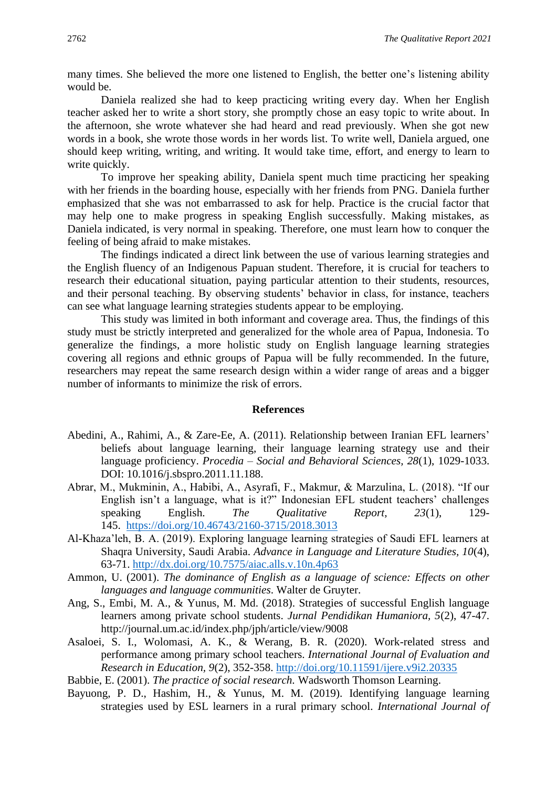many times. She believed the more one listened to English, the better one's listening ability would be.

Daniela realized she had to keep practicing writing every day. When her English teacher asked her to write a short story, she promptly chose an easy topic to write about. In the afternoon, she wrote whatever she had heard and read previously. When she got new words in a book, she wrote those words in her words list. To write well, Daniela argued, one should keep writing, writing, and writing. It would take time, effort, and energy to learn to write quickly.

To improve her speaking ability, Daniela spent much time practicing her speaking with her friends in the boarding house, especially with her friends from PNG. Daniela further emphasized that she was not embarrassed to ask for help. Practice is the crucial factor that may help one to make progress in speaking English successfully. Making mistakes, as Daniela indicated, is very normal in speaking. Therefore, one must learn how to conquer the feeling of being afraid to make mistakes.

The findings indicated a direct link between the use of various learning strategies and the English fluency of an Indigenous Papuan student. Therefore, it is crucial for teachers to research their educational situation, paying particular attention to their students, resources, and their personal teaching. By observing students' behavior in class, for instance, teachers can see what language learning strategies students appear to be employing.

This study was limited in both informant and coverage area. Thus, the findings of this study must be strictly interpreted and generalized for the whole area of Papua, Indonesia. To generalize the findings, a more holistic study on English language learning strategies covering all regions and ethnic groups of Papua will be fully recommended. In the future, researchers may repeat the same research design within a wider range of areas and a bigger number of informants to minimize the risk of errors.

#### **References**

- Abedini, A., Rahimi, A., & Zare-Ee, A. (2011). Relationship between Iranian EFL learners' beliefs about language learning, their language learning strategy use and their language proficiency. *Procedia – Social and Behavioral Sciences, 28*(1), 1029-1033. DOI: 10.1016/j.sbspro.2011.11.188.
- Abrar, M., Mukminin, A., Habibi, A., Asyrafi, F., Makmur, & Marzulina, L. (2018). "If our English isn't a language, what is it?" Indonesian EFL student teachers' challenges speaking English. *The Qualitative Report, 23*(1), 129- 145. <https://doi.org/10.46743/2160-3715/2018.3013>
- Al-Khaza'leh, B. A. (2019). Exploring language learning strategies of Saudi EFL learners at Shaqra University, Saudi Arabia. *Advance in Language and Literature Studies, 10*(4), 63-71.<http://dx.doi.org/10.7575/aiac.alls.v.10n.4p63>
- Ammon, U. (2001). *The dominance of English as a language of science: Effects on other languages and language communities*. Walter de Gruyter.
- Ang, S., Embi, M. A., & Yunus, M. Md. (2018). Strategies of successful English language learners among private school students. *Jurnal Pendidikan Humaniora, 5*(2), 47-47. http://journal.um.ac.id/index.php/jph/article/view/9008
- Asaloei, S. I., Wolomasi, A. K., & Werang, B. R. (2020). Work-related stress and performance among primary school teachers. *International Journal of Evaluation and Research in Education, 9*(2), 352-358.<http://doi.org/10.11591/ijere.v9i2.20335>
- Babbie, E. (2001). *The practice of social research.* Wadsworth Thomson Learning.
- Bayuong, P. D., Hashim, H., & Yunus, M. M. (2019). Identifying language learning strategies used by ESL learners in a rural primary school. *International Journal of*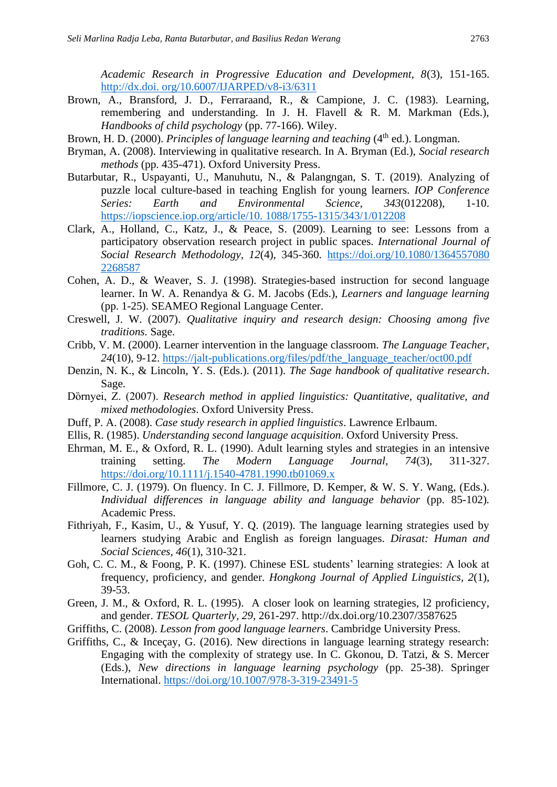*Academic Research in Progressive Education and Development, 8*(3), 151-165. http://dx.doi. org/10.6007/IJARPED/v8-i3/6311

- Brown, A., Bransford, J. D., Ferraraand, R., & Campione, J. C. (1983). Learning, remembering and understanding. In J. H. Flavell & R. M. Markman (Eds.), *Handbooks of child psychology* (pp. 77-166). Wiley.
- Brown, H. D. (2000). *Principles of language learning and teaching* (4<sup>th</sup> ed.). Longman.
- Bryman, A. (2008). Interviewing in qualitative research. In A. Bryman (Ed.), *Social research methods* (pp. 435-471). Oxford University Press.
- Butarbutar, R., Uspayanti, U., Manuhutu, N., & Palangngan, S. T. (2019). Analyzing of puzzle local culture-based in teaching English for young learners. *IOP Conference Series: Earth and Environmental Science, 343*(012208), 1-10. [https://iopscience.iop.org/article/10. 1088/1755-1315/343/1/012208](https://iopscience.iop.org/article/10.%201088/1755-1315/343/1/012208)
- Clark, A., Holland, C., Katz, J., & Peace, S. (2009). Learning to see: Lessons from a participatory observation research project in public spaces. *International Journal of Social Research Methodology, 12*(4), 345-360. [https://doi.org/10.1080/1364557080](https://doi.org/10.1080/1364557080%202268587)  [2268587](https://doi.org/10.1080/1364557080%202268587)
- Cohen, A. D., & Weaver, S. J. (1998). Strategies-based instruction for second language learner. In W. A. Renandya & G. M. Jacobs (Eds.), *Learners and language learning* (pp. 1-25). SEAMEO Regional Language Center.
- Creswell, J. W. (2007). *Qualitative inquiry and research design: Choosing among five traditions.* Sage.
- Cribb, V. M. (2000). Learner intervention in the language classroom. *The Language Teacher, 24*(10), 9-12. [https://jalt-publications.org/files/pdf/the\\_language\\_teacher/oct00.pdf](https://jalt-publications.org/files/pdf/the_language_teacher/oct00.pdf)
- Denzin, N. K., & Lincoln, Y. S. (Eds.). (2011). *The Sage handbook of qualitative research*. Sage.
- Dörnyei, Z. (2007). *Research method in applied linguistics: Quantitative, qualitative, and mixed methodologies*. Oxford University Press.
- Duff, P. A. (2008). *Case study research in applied linguistics*. Lawrence Erlbaum.
- Ellis, R. (1985). *Understanding second language acquisition*. Oxford University Press.
- Ehrman, M. E., & Oxford, R. L. (1990). Adult learning styles and strategies in an intensive training setting. *The Modern Language Journal, 74*(3), 311-327. <https://doi.org/10.1111/j.1540-4781.1990.tb01069.x>
- Fillmore, C. J. (1979). On fluency. In C. J. Fillmore, D. Kemper, & W. S. Y. Wang, (Eds.). *Individual differences in language ability and language behavior* (pp. 85-102). Academic Press.
- Fithriyah, F., Kasim, U., & Yusuf, Y. Q. (2019). The language learning strategies used by learners studying Arabic and English as foreign languages. *Dirasat: Human and Social Sciences, 46*(1), 310-321.
- Goh, C. C. M., & Foong, P. K. (1997). Chinese ESL students' learning strategies: A look at frequency, proficiency, and gender. *Hongkong Journal of Applied Linguistics, 2*(1), 39-53.
- Green, J. M., & Oxford, R. L. (1995). A closer look on learning strategies, l2 proficiency, and gender. *TESOL Quarterly, 29*, 261-297. http://dx.doi.org/10.2307/3587625
- Griffiths, C. (2008). *Lesson from good language learners*. Cambridge University Press.
- Griffiths, C., & Inceçay, G. (2016). New directions in language learning strategy research: Engaging with the complexity of strategy use. In C. Gkonou, D. Tatzi, & S. Mercer (Eds.), *New directions in language learning psychology* (pp. 25-38). Springer International.<https://doi.org/10.1007/978-3-319-23491-5>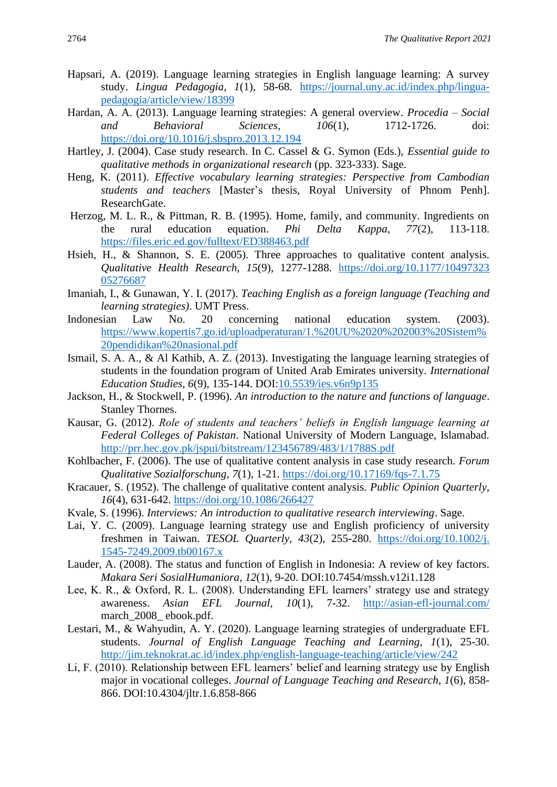- Hapsari, A. (2019). Language learning strategies in English language learning: A survey study. *Lingua Pedagogia, 1*(1), 58-68. [https://journal.uny.ac.id/index.php/lingua](https://journal.uny.ac.id/index.php/lingua-pedagogia/article/view/18399)[pedagogia/article/view/18399](https://journal.uny.ac.id/index.php/lingua-pedagogia/article/view/18399)
- Hardan, A. A. (2013). Language learning strategies: A general overview. *Procedia – Social and Behavioral Sciences, 106*(1), 1712-1726. doi: <https://doi.org/10.1016/j.sbspro.2013.12.194>
- Hartley, J. (2004). Case study research. In C. Cassel & G. Symon (Eds.), *Essential guide to qualitative methods in organizational research* (pp. 323-333). Sage.
- Heng, K. (2011). *Effective vocabulary learning strategies: Perspective from Cambodian students and teachers* [Master's thesis, Royal University of Phnom Penh]. ResearchGate.
- Herzog, M. L. R., & Pittman, R. B. (1995). Home, family, and community. Ingredients on the rural education equation. *Phi Delta Kappa, 77*(2), 113-118. <https://files.eric.ed.gov/fulltext/ED388463.pdf>
- Hsieh, H., & Shannon, S. E. (2005). Three approaches to qualitative content analysis. *Qualitative Health Research, 15*(9), 1277-1288. [https://doi.org/10.1177/10497323](https://doi.org/10.1177%2F1049732305276687)  [05276687](https://doi.org/10.1177%2F1049732305276687)
- Imaniah, I., & Gunawan, Y. I. (2017). *Teaching English as a foreign language (Teaching and learning strategies)*. UMT Press.
- Indonesian Law No. 20 concerning national education system. (2003). [https://www.kopertis7.go.id/uploadperaturan/1.%20UU%2020%202003%20Sistem%](https://www.kopertis7.go.id/uploadperaturan/1.%20UU%2020%202003%20Sistem%20pendidikan%20nasional.pdf) [20pendidikan%20nasional.pdf](https://www.kopertis7.go.id/uploadperaturan/1.%20UU%2020%202003%20Sistem%20pendidikan%20nasional.pdf)
- Ismail, S. A. A., & Al Kathib, A. Z. (2013). Investigating the language learning strategies of students in the foundation program of United Arab Emirates university. *International Education Studies, 6*(9), 135-144. DOI[:10.5539/ies.v6n9p135](https://doi.org/10.5539/ies.v6n9p135)
- Jackson, H., & Stockwell, P. (1996). *An introduction to the nature and functions of language*. Stanley Thornes.
- Kausar, G. (2012). *Role of students and teachers' beliefs in English language learning at Federal Colleges of Pakistan*. National University of Modern Language, Islamabad. <http://prr.hec.gov.pk/jspui/bitstream/123456789/483/1/1788S.pdf>
- Kohlbacher, F. (2006). The use of qualitative content analysis in case study research. *Forum Qualitative Sozialforschung, 7*(1), 1-21.<https://doi.org/10.17169/fqs-7.1.75>
- Kracauer, S. (1952). The challenge of qualitative content analysis. *Public Opinion Quarterly, 16*(4), 631-642.<https://doi.org/10.1086/266427>
- Kvale, S. (1996). *Interviews: An introduction to qualitative research interviewing*. Sage.
- Lai, Y. C. (2009). Language learning strategy use and English proficiency of university freshmen in Taiwan. *TESOL Quarterly, 43*(2), 255-280. [https://doi.org/10.1002/j.](https://doi.org/10.1002/j.%201545-7249.2009.tb00167.x)  [1545-7249.2009.tb00167.x](https://doi.org/10.1002/j.%201545-7249.2009.tb00167.x)
- Lauder, A. (2008). The status and function of English in Indonesia: A review of key factors. *Makara Seri SosialHumaniora, 12*(1), 9-20. DOI:10.7454/mssh.v12i1.128
- Lee, K. R., & Oxford, R. L. (2008). Understanding EFL learners' strategy use and strategy awareness. *Asian EFL Journal, 10*(1), 7-32. <http://asian-efl-journal.com/> march\_2008\_ ebook.pdf.
- Lestari, M., & Wahyudin, A. Y. (2020). Language learning strategies of undergraduate EFL students. *Journal of English Language Teaching and Learning, 1*(1), 25-30. <http://jim.teknokrat.ac.id/index.php/english-language-teaching/article/view/242>
- Li, F. (2010). Relationship between EFL learners' belief and learning strategy use by English major in vocational colleges. *Journal of Language Teaching and Research, 1*(6), 858- 866. DOI:10.4304/jltr.1.6.858-866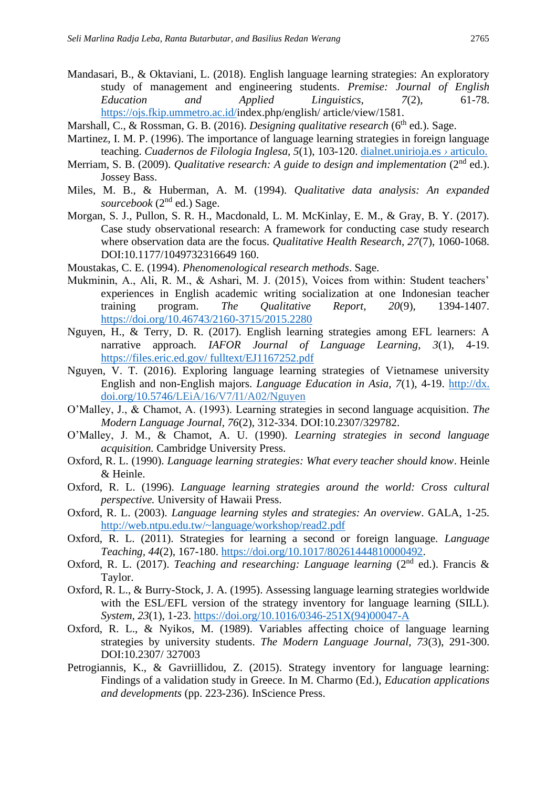- Mandasari, B., & Oktaviani, L. (2018). English language learning strategies: An exploratory study of management and engineering students. *Premise: Journal of English Education and Applied Linguistics, 7*(2), 61-78. [https://ojs.fkip.ummetro.ac.id/i](https://ojs.fkip.ummetro.ac.id/)ndex.php/english/ article/view/1581.
- Marshall, C., & Rossman, G. B. (2016). *Designing qualitative research* (6<sup>th</sup> ed.). Sage.
- Martinez, I. M. P. (1996). The importance of language learning strategies in foreign language teaching. *Cuadernos de Filologia Inglesa, 5*(1), 103-120. [dialnet.unirioja.es](https://www.google.com/url?sa=t&rct=j&q=&esrc=s&source=web&cd=2&cad=rja&uact=8&ved=2ahUKEwj-irG4yPDoAhWZF3IKHTUqA1QQFjABegQIBBAB&url=https%3A%2F%2Fdialnet.unirioja.es%2Fservlet%2Farticulo%3Fcodigo%3D1325566&usg=AOvVaw1Dh50tVVsdcyp8wtAeaT4S) *›* articulo.
- Merriam, S. B. (2009). *Qualitative research: A guide to design and implementation* (2<sup>nd</sup> ed.). Jossey Bass.
- Miles, M. B., & Huberman, A. M. (1994). *Qualitative data analysis: An expanded sourcebook* (2nd ed.) Sage.
- Morgan, S. J., Pullon, S. R. H., Macdonald, L. M. McKinlay, E. M., & Gray, B. Y. (2017). Case study observational research: A framework for conducting case study research where observation data are the focus. *Qualitative Health Research, 27*(7), 1060-1068. DOI:10.1177/1049732316649 160.
- Moustakas, C. E. (1994). *Phenomenological research methods*. Sage.
- Mukminin, A., Ali, R. M., & Ashari, M. J. (2015), Voices from within: Student teachers' experiences in English academic writing socialization at one Indonesian teacher training program. *The Qualitative Report, 20*(9), 1394-1407. <https://doi.org/10.46743/2160-3715/2015.2280>
- Nguyen, H., & Terry, D. R. (2017). English learning strategies among EFL learners: A narrative approach. *IAFOR Journal of Language Learning, 3*(1), 4-19. [https://files.eric.ed.gov/ fulltext/EJ1167252.pdf](https://files.eric.ed.gov/%20fulltext/EJ1167252.pdf)
- Nguyen, V. T. (2016). Exploring language learning strategies of Vietnamese university English and non-English majors. *Language Education in Asia, 7*(1), 4-19. http://dx. doi.org/10.5746/LEiA/16/V7/I1/A02/Nguyen
- O'Malley, J., & Chamot, A. (1993). Learning strategies in second language acquisition. *The Modern Language Journal, 76*(2), 312-334. DOI:10.2307/329782.
- O'Malley, J. M., & Chamot, A. U. (1990). *Learning strategies in second language acquisition.* Cambridge University Press.
- Oxford, R. L. (1990). *Language learning strategies: What every teacher should know*. Heinle & Heinle.
- Oxford, R. L. (1996). *Language learning strategies around the world: Cross cultural perspective.* University of Hawaii Press.
- Oxford, R. L. (2003). *Language learning styles and strategies: An overview*. GALA, 1-25. <http://web.ntpu.edu.tw/~language/workshop/read2.pdf>
- Oxford, R. L. (2011). Strategies for learning a second or foreign language. *Language Teaching, 44*(2), 167-180. [https://doi.org/10.1017/80261444810000492.](https://doi.org/10.1017/80261444810000492)
- Oxford, R. L. (2017). *Teaching and researching: Language learning* (2<sup>nd</sup> ed.). Francis & Taylor.
- Oxford, R. L., & Burry-Stock, J. A. (1995). Assessing language learning strategies worldwide with the ESL/EFL version of the strategy inventory for language learning (SILL). *System, 23*(1), 1-23. [https://doi.org/10.1016/0346-251X\(94\)00047-A](https://doi.org/10.1016/0346-251X(94)00047-A)
- Oxford, R. L., & Nyikos, M. (1989). Variables affecting choice of language learning strategies by university students. *The Modern Language Journal, 73*(3), 291-300. DOI:10.2307/ 327003
- Petrogiannis, K., & Gavriillidou, Z. (2015). Strategy inventory for language learning: Findings of a validation study in Greece. In M. Charmo (Ed.), *Education applications and developments* (pp. 223-236). InScience Press.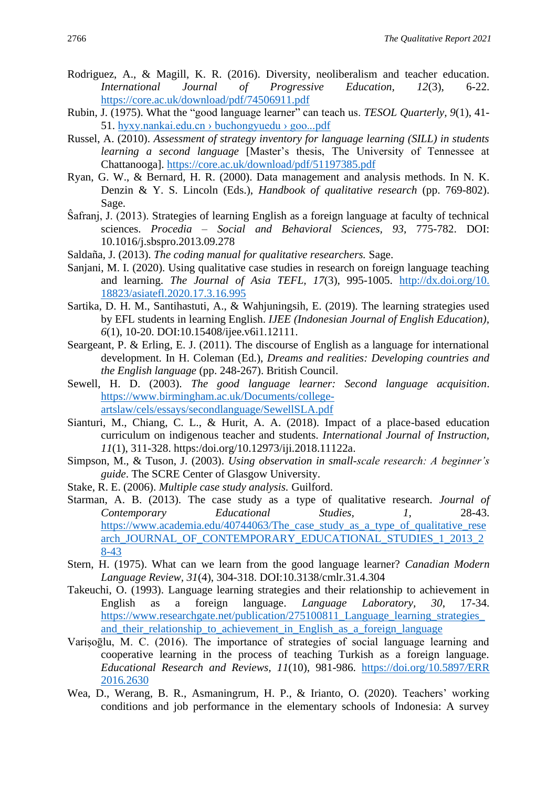- Rodriguez, A., & Magill, K. R. (2016). Diversity, neoliberalism and teacher education. *International Journal of Progressive Education, 12*(3), 6-22. <https://core.ac.uk/download/pdf/74506911.pdf>
- Rubin, J. (1975). What the "good language learner" can teach us. *TESOL Quarterly, 9*(1), 41- 51. [hyxy.nankai.edu.cn › buchongyuedu › goo.](https://www.google.com/url?sa=t&rct=j&q=&esrc=s&source=web&cd=2&ved=2ahUKEwizkrrVv-voAhXC6XMBHRk8AJEQFjABegQIBRAB&url=http%3A%2F%2Fhyxy.nankai.edu.cn%2Fjingpinke%2Fbuchongyuedu%2Fgood%2520language%2520learners%2520by%2520Rubin%25201975.pdf&usg=AOvVaw2qIdymr1lZuqLXbMhNH48V)*..*pdf
- Russel, A. (2010). *Assessment of strategy inventory for language learning (SILL) in students learning a second language* [Master's thesis, The University of Tennessee at Chattanooga]. <https://core.ac.uk/download/pdf/51197385.pdf>
- Ryan, G. W., & Bernard, H. R. (2000). Data management and analysis methods. In N. K. Denzin & Y. S. Lincoln (Eds.), *Handbook of qualitative research* (pp. 769-802). Sage.
- Ŝafranj, J. (2013). Strategies of learning English as a foreign language at faculty of technical sciences. *Procedia – Social and Behavioral Sciences, 93*, 775-782. DOI: 10.1016/j.sbspro.2013.09.278
- Saldaña, J. (2013). *The coding manual for qualitative researchers.* Sage.
- Sanjani, M. I. (2020). Using qualitative case studies in research on foreign language teaching and learning. *The Journal of Asia TEFL, 17*(3), 995-1005. [http://dx.doi.org/10.](http://dx.doi.org/10.%2018823/asiatefl.2020.17.3.16.995)  [18823/asiatefl.2020.17.3.16.995](http://dx.doi.org/10.%2018823/asiatefl.2020.17.3.16.995)
- Sartika, D. H. M., Santihastuti, A., & Wahjuningsih, E. (2019). The learning strategies used by EFL students in learning English. *IJEE (Indonesian Journal of English Education), 6*(1), 10-20. DOI:10.15408/ijee.v6i1.12111.
- Seargeant, P. & Erling, E. J. (2011). The discourse of English as a language for international development. In H. Coleman (Ed.), *Dreams and realities: Developing countries and the English language* (pp. 248-267). British Council.
- Sewell, H. D. (2003). *The good language learner: Second language acquisition*. [https://www.birmingham.ac.uk/Documents/college](https://www.birmingham.ac.uk/Documents/college-artslaw/cels/essays/secondlanguage/SewellSLA.pdf)[artslaw/cels/essays/secondlanguage/SewellSLA.pdf](https://www.birmingham.ac.uk/Documents/college-artslaw/cels/essays/secondlanguage/SewellSLA.pdf)
- Sianturi, M., Chiang, C. L., & Hurit, A. A. (2018). Impact of a place-based education curriculum on indigenous teacher and students. *International Journal of Instruction, 11*(1), 311-328. https:/doi.org/10.12973/iji.2018.11122a.
- Simpson, M., & Tuson, J. (2003). *Using observation in small-scale research: A beginner's guide*. The SCRE Center of Glasgow University.
- Stake, R. E. (2006). *Multiple case study analysis.* Guilford.
- Starman, A. B. (2013). The case study as a type of qualitative research. *Journal of Contemporary Educational Studies, 1,* 28-43. [https://www.academia.edu/40744063/The\\_case\\_study\\_as\\_a\\_type\\_of\\_qualitative\\_rese](https://www.academia.edu/40744063/The_case_study_as_a_type_of_qualitative_research_JOURNAL_OF_CONTEMPORARY_EDUCATIONAL_STUDIES_1_2013_28-43) arch JOURNAL\_OF\_CONTEMPORARY\_EDUCATIONAL\_STUDIES\_1\_2013\_2 [8-43](https://www.academia.edu/40744063/The_case_study_as_a_type_of_qualitative_research_JOURNAL_OF_CONTEMPORARY_EDUCATIONAL_STUDIES_1_2013_28-43)
- Stern, H. (1975). What can we learn from the good language learner? *Canadian Modern Language Review, 31*(4), 304-318. DOI:10.3138/cmlr.31.4.304
- Takeuchi, O. (1993). Language learning strategies and their relationship to achievement in English as a foreign language. *Language Laboratory, 30*, 17-34. https://www.researchgate.net/publication/275100811\_Language\_learning\_strategies and their relationship to achievement in English as a foreign language
- Varisoğlu, M. C. (2016). The importance of strategies of social language learning and cooperative learning in the process of teaching Turkish as a foreign language. *Educational Research and Reviews, 11*(10), 981-986. https://doi*.*[org/10.5897](https://doi.org/10.5897/ERR%202016.2630)*/*ERR 2016*.*[2630](https://doi.org/10.5897/ERR%202016.2630)
- Wea, D., Werang, B. R., Asmaningrum, H. P., & Irianto, O. (2020). Teachers' working conditions and job performance in the elementary schools of Indonesia: A survey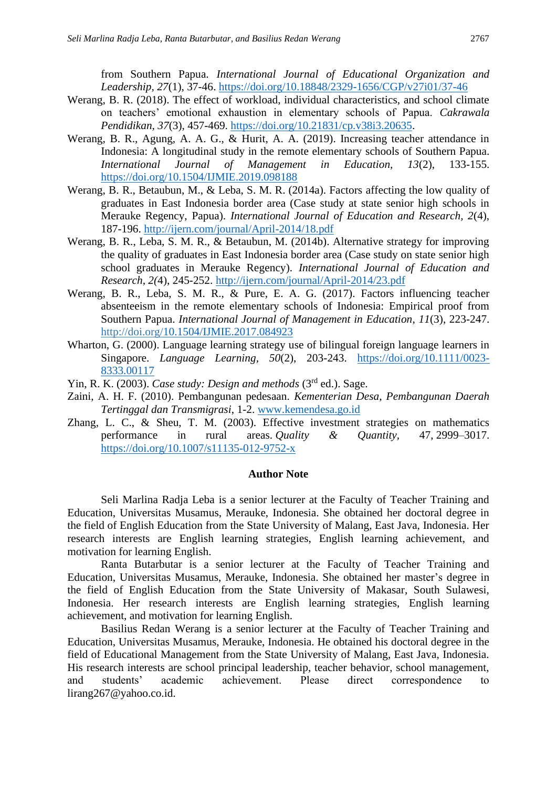from Southern Papua. *International Journal of Educational Organization and Leadership, 27*(1), 37-46.<https://doi.org/10.18848/2329-1656/CGP/v27i01/37-46>

- Werang, B. R. (2018). The effect of workload, individual characteristics, and school climate on teachers' emotional exhaustion in elementary schools of Papua. *Cakrawala Pendidikan*, *37*(3), 457-469. [https://doi.org/10.21831/cp.v38i3.20635.](https://doi.org/10.21831/cp.v38i3.20635)
- Werang, B. R., Agung, A. A. G., & Hurit, A. A. (2019). Increasing teacher attendance in Indonesia: A longitudinal study in the remote elementary schools of Southern Papua. *International Journal of Management in Education, 13*(2), 133-155. <https://doi.org/10.1504/IJMIE.2019.098188>
- Werang, B. R., Betaubun, M., & Leba, S. M. R. (2014a). Factors affecting the low quality of graduates in East Indonesia border area (Case study at state senior high schools in Merauke Regency, Papua). *International Journal of Education and Research, 2*(4), 187-196.<http://ijern.com/journal/April-2014/18.pdf>
- Werang, B. R., Leba, S. M. R., & Betaubun, M. (2014b). Alternative strategy for improving the quality of graduates in East Indonesia border area (Case study on state senior high school graduates in Merauke Regency). *International Journal of Education and Research, 2(*4), 245-252.<http://ijern.com/journal/April-2014/23.pdf>
- Werang, B. R., Leba, S. M. R., & Pure, E. A. G. (2017). Factors influencing teacher absenteeism in the remote elementary schools of Indonesia: Empirical proof from Southern Papua. *International Journal of Management in Education*, *11*(3), 223-247. http://doi.org[/10.1504/IJMIE.2017.084923](https://doi.org/10.1504/ijmie.2017.084923)
- Wharton, G. (2000). Language learning strategy use of bilingual foreign language learners in Singapore. *Language Learning, 50*(2), 203-243. [https://doi.org/10.1111/0023-](https://doi.org/10.1111/0023-8333.00117) [8333.00117](https://doi.org/10.1111/0023-8333.00117)
- Yin, R. K. (2003). *Case study: Design and methods* (3<sup>rd</sup> ed.). Sage.
- Zaini, A. H. F. (2010). Pembangunan pedesaan. *Kementerian Desa, Pembangunan Daerah Tertinggal dan Transmigrasi*, 1-2. [www.kemendesa.go.id](http://www.kemendesa.go.id/)
- Zhang, L. C., & Sheu, T. M. (2003). Effective investment strategies on mathematics performance in rural areas. *Quality & Quantity,* 47, 2999–3017. <https://doi.org/10.1007/s11135-012-9752-x>

#### **Author Note**

Seli Marlina Radja Leba is a senior lecturer at the Faculty of Teacher Training and Education, Universitas Musamus, Merauke, Indonesia. She obtained her doctoral degree in the field of English Education from the State University of Malang, East Java, Indonesia. Her research interests are English learning strategies, English learning achievement, and motivation for learning English.

Ranta Butarbutar is a senior lecturer at the Faculty of Teacher Training and Education, Universitas Musamus, Merauke, Indonesia. She obtained her master's degree in the field of English Education from the State University of Makasar, South Sulawesi, Indonesia. Her research interests are English learning strategies, English learning achievement, and motivation for learning English.

Basilius Redan Werang is a senior lecturer at the Faculty of Teacher Training and Education, Universitas Musamus, Merauke, Indonesia. He obtained his doctoral degree in the field of Educational Management from the State University of Malang, East Java, Indonesia. His research interests are school principal leadership, teacher behavior, school management, and students' academic achievement. Please direct correspondence to lirang267@yahoo.co.id.